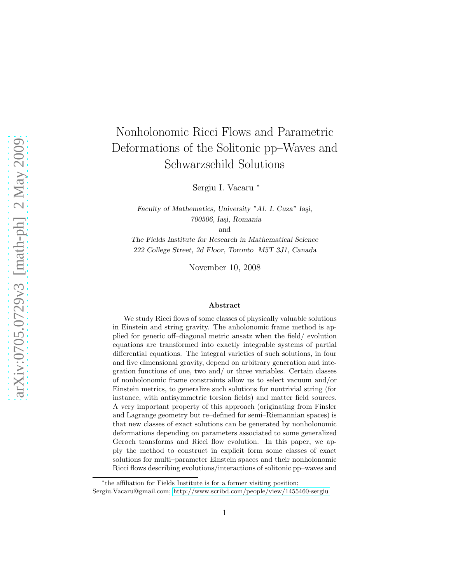# Nonholonomic Ricci Flows and Parametric Deformations of the Solitonic pp–Waves and Schwarzschild Solutions

Sergiu I. Vacaru <sup>∗</sup>

Faculty of Mathematics, University "Al. I. Cuza" Iași, 700506, Iași, Romania

and

The Fields Institute for Research in Mathematical Science 222 College Street, 2d Floor, Toronto M5T 3J1, Canada

November 10, 2008

#### Abstract

We study Ricci flows of some classes of physically valuable solutions in Einstein and string gravity. The anholonomic frame method is applied for generic off–diagonal metric ansatz when the field/ evolution equations are transformed into exactly integrable systems of partial differential equations. The integral varieties of such solutions, in four and five dimensional gravity, depend on arbitrary generation and integration functions of one, two and/ or three variables. Certain classes of nonholonomic frame constraints allow us to select vacuum and/or Einstein metrics, to generalize such solutions for nontrivial string (for instance, with antisymmetric torsion fields) and matter field sources. A very important property of this approach (originating from Finsler and Lagrange geometry but re–defined for semi–Riemannian spaces) is that new classes of exact solutions can be generated by nonholonomic deformations depending on parameters associated to some generalized Geroch transforms and Ricci flow evolution. In this paper, we apply the method to construct in explicit form some classes of exact solutions for multi–parameter Einstein spaces and their nonholonomic Ricci flows describing evolutions/interactions of solitonic pp–waves and

<sup>∗</sup> the affiliation for Fields Institute is for a former visiting position;

Sergiu.Vacaru@gmail.com;<http://www.scribd.com/people/view/1455460-sergiu>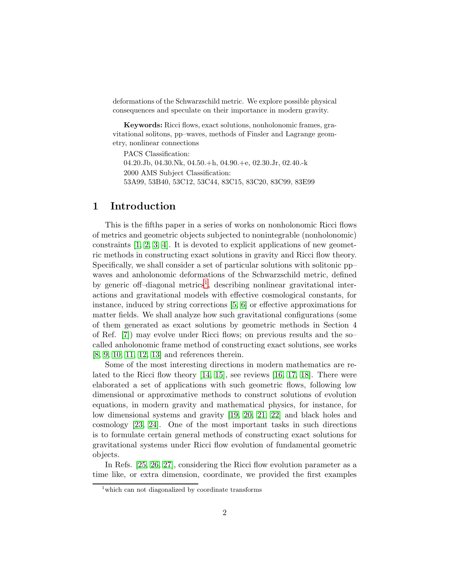deformations of the Schwarzschild metric. We explore possible physical consequences and speculate on their importance in modern gravity.

Keywords: Ricci flows, exact solutions, nonholonomic frames, gravitational solitons, pp–waves, methods of Finsler and Lagrange geometry, nonlinear connections

PACS Classification: 04.20.Jb, 04.30.Nk, 04.50.+h, 04.90.+e, 02.30.Jr, 02.40.-k 2000 AMS Subject Classification: 53A99, 53B40, 53C12, 53C44, 83C15, 83C20, 83C99, 83E99

## 1 Introduction

This is the fifths paper in a series of works on nonholonomic Ricci flows of metrics and geometric objects subjected to nonintegrable (nonholonomic) constraints [\[1,](#page-34-0) [2,](#page-34-1) [3,](#page-34-2) [4\]](#page-34-3). It is devoted to explicit applications of new geometric methods in constructing exact solutions in gravity and Ricci flow theory. Specifically, we shall consider a set of particular solutions with solitonic pp– waves and anholonomic deformations of the Schwarzschild metric, defined by generic off-diagonal metrics<sup>[1](#page-1-0)</sup>, describing nonlinear gravitational interactions and gravitational models with effective cosmological constants, for instance, induced by string corrections [\[5,](#page-34-4) [6\]](#page-34-5) or effective approximations for matter fields. We shall analyze how such gravitational configurations (some of them generated as exact solutions by geometric methods in Section 4 of Ref. [\[7\]](#page-34-6)) may evolve under Ricci flows; on previous results and the so– called anholonomic frame method of constructing exact solutions, see works [\[8,](#page-34-7) [9,](#page-35-0) [10,](#page-35-1) [11,](#page-35-2) [12,](#page-35-3) [13\]](#page-35-4) and references therein.

Some of the most interesting directions in modern mathematics are related to the Ricci flow theory [\[14,](#page-35-5) [15\]](#page-35-6), see reviews [\[16,](#page-35-7) [17,](#page-35-8) [18\]](#page-35-9). There were elaborated a set of applications with such geometric flows, following low dimensional or approximative methods to construct solutions of evolution equations, in modern gravity and mathematical physics, for instance, for low dimensional systems and gravity [\[19,](#page-35-10) [20,](#page-35-11) [21,](#page-35-12) [22\]](#page-36-0) and black holes and cosmology [\[23,](#page-36-1) [24\]](#page-36-2). One of the most important tasks in such directions is to formulate certain general methods of constructing exact solutions for gravitational systems under Ricci flow evolution of fundamental geometric objects.

In Refs. [\[25,](#page-36-3) [26,](#page-36-4) [27\]](#page-36-5), considering the Ricci flow evolution parameter as a time like, or extra dimension, coordinate, we provided the first examples

<span id="page-1-0"></span> $1$ <sup>which</sup> can not diagonalized by coordinate transforms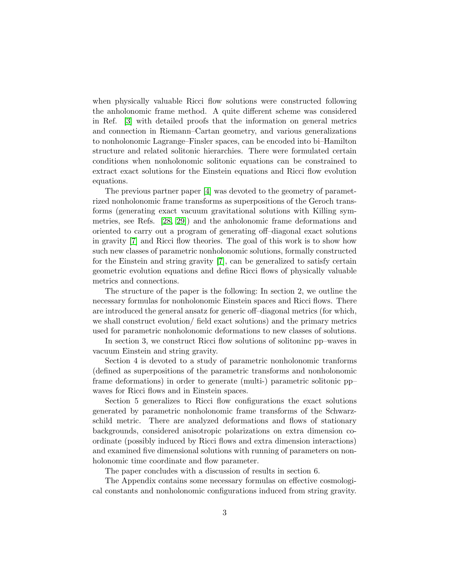when physically valuable Ricci flow solutions were constructed following the anholonomic frame method. A quite different scheme was considered in Ref. [\[3\]](#page-34-2) with detailed proofs that the information on general metrics and connection in Riemann–Cartan geometry, and various generalizations to nonholonomic Lagrange–Finsler spaces, can be encoded into bi–Hamilton structure and related solitonic hierarchies. There were formulated certain conditions when nonholonomic solitonic equations can be constrained to extract exact solutions for the Einstein equations and Ricci flow evolution equations.

The previous partner paper [\[4\]](#page-34-3) was devoted to the geometry of parametrized nonholonomic frame transforms as superpositions of the Geroch transforms (generating exact vacuum gravitational solutions with Killing symmetries, see Refs. [\[28,](#page-36-6) [29\]](#page-36-7)) and the anholonomic frame deformations and oriented to carry out a program of generating off–diagonal exact solutions in gravity [\[7\]](#page-34-6) and Ricci flow theories. The goal of this work is to show how such new classes of parametric nonholonomic solutions, formally constructed for the Einstein and string gravity [\[7\]](#page-34-6), can be generalized to satisfy certain geometric evolution equations and define Ricci flows of physically valuable metrics and connections.

The structure of the paper is the following: In section 2, we outline the necessary formulas for nonholonomic Einstein spaces and Ricci flows. There are introduced the general ansatz for generic off–diagonal metrics (for which, we shall construct evolution/ field exact solutions) and the primary metrics used for parametric nonholonomic deformations to new classes of solutions.

In section 3, we construct Ricci flow solutions of solitoninc pp–waves in vacuum Einstein and string gravity.

Section 4 is devoted to a study of parametric nonholonomic tranforms (defined as superpositions of the parametric transforms and nonholonomic frame deformations) in order to generate (multi-) parametric solitonic pp– waves for Ricci flows and in Einstein spaces.

Section 5 generalizes to Ricci flow configurations the exact solutions generated by parametric nonholonomic frame transforms of the Schwarzschild metric. There are analyzed deformations and flows of stationary backgrounds, considered anisotropic polarizations on extra dimension coordinate (possibly induced by Ricci flows and extra dimension interactions) and examined five dimensional solutions with running of parameters on nonholonomic time coordinate and flow parameter.

The paper concludes with a discussion of results in section 6.

The Appendix contains some necessary formulas on effective cosmological constants and nonholonomic configurations induced from string gravity.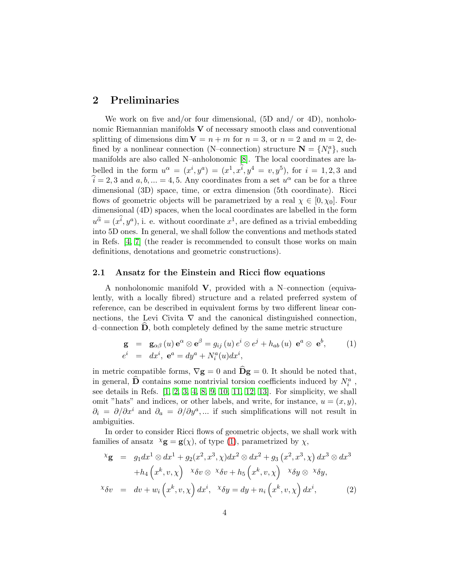## 2 Preliminaries

We work on five and/or four dimensional,  $(5D \text{ and}/ \text{ or } 4D)$ , nonholonomic Riemannian manifolds  $V$  of necessary smooth class and conventional splitting of dimensions dim  $V = n + m$  for  $n = 3$ , or  $n = 2$  and  $m = 2$ , defined by a nonlinear connection (N–connection) structure  $\mathbf{N} = \{N_i^a\}$ , such manifolds are also called N–anholonomic [\[8\]](#page-34-7). The local coordinates are labelled in the form  $u^{\alpha} = (x^{i}, y^{a}) = (x^{1}, x^{\overline{i}}, y^{4} = v, y^{5})$ , for  $i = 1, 2, 3$  and  $\hat{i} = 2, 3$  and  $a, b, ... = 4, 5$ . Any coordinates from a set  $u^{\alpha}$  can be for a three dimensional (3D) space, time, or extra dimension (5th coordinate). Ricci flows of geometric objects will be parametrized by a real  $\chi \in [0, \chi_0]$ . Four dimensional (4D) spaces, when the local coordinates are labelled in the form  $u^{\widehat{a}} = (x^{\widehat{i}}, y^a)$ , i. e. without coordinate  $x^1$ , are defined as a trivial embedding into 5D ones. In general, we shall follow the conventions and methods stated in Refs. [\[4,](#page-34-3) [7\]](#page-34-6) (the reader is recommended to consult those works on main definitions, denotations and geometric constructions).

#### 2.1 Ansatz for the Einstein and Ricci flow equations

A nonholonomic manifold V, provided with a N–connection (equivalently, with a locally fibred) structure and a related preferred system of reference, can be described in equivalent forms by two different linear connections, the Levi Civita  $\nabla$  and the canonical distinguished connection,  $d$ -connection  $D$ , both completely defined by the same metric structure

<span id="page-3-0"></span>
$$
\mathbf{g} = \mathbf{g}_{\alpha\beta}(u) \mathbf{e}^{\alpha} \otimes \mathbf{e}^{\beta} = g_{ij}(u) e^{i} \otimes e^{j} + h_{ab}(u) \mathbf{e}^{a} \otimes \mathbf{e}^{b},
$$
  
\n
$$
e^{i} = dx^{i}, \mathbf{e}^{a} = dy^{a} + N_{i}^{a}(u) dx^{i},
$$
\n(1)

in metric compatible forms,  $\nabla \mathbf{g} = 0$  and  $\widehat{\mathbf{D}}\mathbf{g} = 0$ . It should be noted that, in general,  $\widehat{\mathbf{D}}$  contains some nontrivial torsion coefficients induced by  $N_i^a$ , see details in Refs. [\[1,](#page-34-0) [2,](#page-34-1) [3,](#page-34-2) [4,](#page-34-3) [8,](#page-34-7) [9,](#page-35-0) [10,](#page-35-1) [11,](#page-35-2) [12,](#page-35-3) [13\]](#page-35-4). For simplicity, we shall omit "hats" and indices, or other labels, and write, for instance,  $u = (x, y)$ ,  $\partial_i = \partial/\partial x^i$  and  $\partial_a = \partial/\partial y^a, \dots$  if such simplifications will not result in ambiguities.

In order to consider Ricci flows of geometric objects, we shall work with families of ansatz  $\chi$ **g** = **g**( $\chi$ ), of type [\(1\)](#page-3-0), parametrized by  $\chi$ ,

<span id="page-3-1"></span>
$$
\begin{aligned}\n x_{\mathbf{g}} &= g_1 dx^1 \otimes dx^1 + g_2(x^2, x^3, \chi) dx^2 \otimes dx^2 + g_3(x^2, x^3, \chi) dx^3 \otimes dx^3 \\
 &\quad + h_4\left(x^k, v, \chi\right) \quad x \delta v \otimes x \delta v + h_5\left(x^k, v, \chi\right) \quad x \delta y \otimes x \delta y, \\
 x \delta v &= dv + w_i\left(x^k, v, \chi\right) dx^i, \quad x \delta y = dy + n_i\left(x^k, v, \chi\right) dx^i,\n\end{aligned}
$$
\n(2)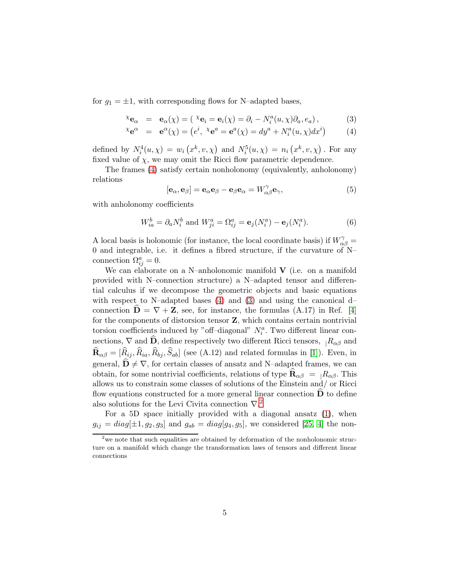for  $g_1 = \pm 1$ , with corresponding flows for N–adapted bases,

<span id="page-4-0"></span>
$$
\chi_{\mathbf{e}_{\alpha}} = \mathbf{e}_{\alpha}(\chi) = (\chi_{\mathbf{e}_i} = \mathbf{e}_i(\chi) = \partial_i - N_i^a(u, \chi)\partial_a, e_a), \tag{3}
$$

$$
{}^{\chi}\mathbf{e}^{\alpha} = \mathbf{e}^{\alpha}(\chi) = (e^i, {}^{\chi}\mathbf{e}^a = \mathbf{e}^a(\chi) = dy^a + N_i^a(u, \chi)dx^i)
$$
(4)

defined by  $N_i^4(u, \chi) = w_i(x^k, v, \chi)$  and  $N_i^5(u, \chi) = n_i(x^k, v, \chi)$ . For any fixed value of  $\chi$ , we may omit the Ricci flow parametric dependence.

The frames [\(4\)](#page-4-0) satisfy certain nonholonomy (equivalently, anholonomy) relations

$$
[\mathbf{e}_{\alpha}, \mathbf{e}_{\beta}] = \mathbf{e}_{\alpha} \mathbf{e}_{\beta} - \mathbf{e}_{\beta} \mathbf{e}_{\alpha} = W_{\alpha\beta}^{\gamma} \mathbf{e}_{\gamma},
$$
(5)

with anholonomy coefficients

$$
W_{ia}^b = \partial_a N_i^b \text{ and } W_{ji}^a = \Omega_{ij}^a = \mathbf{e}_j (N_i^a) - \mathbf{e}_j (N_i^a). \tag{6}
$$

A local basis is holonomic (for instance, the local coordinate basis) if  $W_{\alpha\beta}^{\gamma} =$ 0 and integrable, i.e. it defines a fibred structure, if the curvature of N– connection  $\Omega_{ij}^a = 0$ .

We can elaborate on a N–anholonomic manifold  $\bf{V}$  (i.e. on a manifold provided with N–connection structure) a N–adapted tensor and differential calculus if we decompose the geometric objects and basic equations with respect to N–adapted bases [\(4\)](#page-4-0) and [\(3\)](#page-4-0) and using the canonical d– connection  $\mathbf{D} = \nabla + \mathbf{Z}$ , see, for instance, the formulas (A.17) in Ref. [\[4\]](#page-34-3) for the components of distorsion tensor Z, which contains certain nontrivial torsion coefficients induced by "off-diagonal"  $N_i^a$ . Two different linear connections,  $\nabla$  and  $\hat{\mathbf{D}}$ , define respectively two different Ricci tensors,  $|R_{\alpha\beta}$  and  $\mathbf{R}_{\alpha\beta} = [R_{ij}, R_{ia}, R_{bj}, S_{ab}]$  (see (A.12) and related formulas in [\[1\]](#page-34-0)). Even, in general,  $\mathbf{D} \neq \nabla$ , for certain classes of ansatz and N–adapted frames, we can obtain, for some nontrivial coefficients, relations of type  $\mathbf{R}_{\alpha\beta} = R_{\alpha\beta}$ . This allows us to constrain some classes of solutions of the Einstein and/ or Ricci flow equations constructed for a more general linear connection  $\dot{\mathbf{D}}$  to define also solutions for the Levi Civita connection  $\nabla^2$  $\nabla^2$ .

For a 5D space initially provided with a diagonal ansatz [\(1\)](#page-3-0), when  $g_{ij} = diag[\pm 1, g_2, g_3]$  and  $g_{ab} = diag[g_4, g_5]$ , we considered [\[25,](#page-36-3) [4\]](#page-34-3) the non-

<span id="page-4-1"></span><sup>&</sup>lt;sup>2</sup> we note that such equalities are obtained by deformation of the nonholonomic structure on a manifold which change the transformation laws of tensors and different linear connections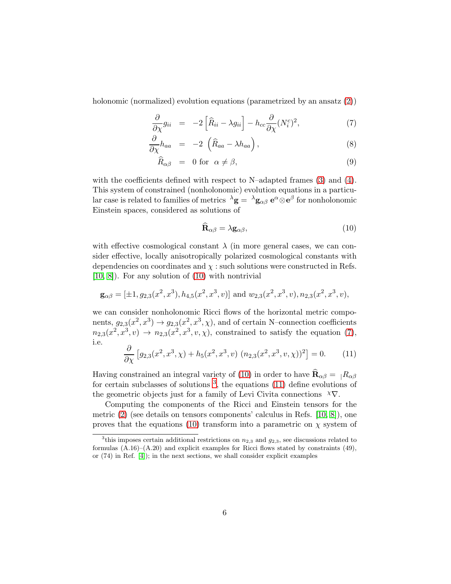holonomic (normalized) evolution equations (parametrized by an ansatz  $(2)$ )

<span id="page-5-1"></span>
$$
\frac{\partial}{\partial \chi} g_{ii} = -2 \left[ \widehat{R}_{ii} - \lambda g_{ii} \right] - h_{cc} \frac{\partial}{\partial \chi} (N_i^c)^2, \tag{7}
$$

$$
\frac{\partial}{\partial \chi} h_{aa} = -2 \left( \widehat{R}_{aa} - \lambda h_{aa} \right), \tag{8}
$$

$$
\widehat{R}_{\alpha\beta} = 0 \text{ for } \alpha \neq \beta,
$$
\n(9)

with the coefficients defined with respect to N–adapted frames  $(3)$  and  $(4)$ . This system of constrained (nonholonomic) evolution equations in a particular case is related to families of metrics  $\lambda$ **g** =  $\lambda$ **g**<sub> $\alpha$ β</sub> **e**<sup>α</sup>⊗**e**<sup>β</sup> for nonholonomic Einstein spaces, considered as solutions of

<span id="page-5-0"></span>
$$
\widehat{\mathbf{R}}_{\alpha\beta} = \lambda \mathbf{g}_{\alpha\beta},\tag{10}
$$

with effective cosmological constant  $\lambda$  (in more general cases, we can consider effective, locally anisotropically polarized cosmological constants with dependencies on coordinates and  $\chi$ : such solutions were constructed in Refs. [\[10,](#page-35-1) [8\]](#page-34-7)). For any solution of [\(10\)](#page-5-0) with nontrivial

$$
\mathbf{g}_{\alpha\beta} = [\pm 1, g_{2,3}(x^2, x^3), h_{4,5}(x^2, x^3, v)] \text{ and } w_{2,3}(x^2, x^3, v), n_{2,3}(x^2, x^3, v),
$$

we can consider nonholonomic Ricci flows of the horizontal metric components,  $g_{2,3}(x^2, x^3) \rightarrow g_{2,3}(x^2, x^3, \chi)$ , and of certain N-connection coefficients  $n_{2,3}(x^2, x^3, v) \rightarrow n_{2,3}(x^2, x^3, v, \chi)$ , constrained to satisfy the equation [\(7\)](#page-5-1), i.e.

<span id="page-5-3"></span>
$$
\frac{\partial}{\partial \chi} \left[ g_{2,3}(x^2, x^3, \chi) + h_5(x^2, x^3, v) \left( n_{2,3}(x^2, x^3, v, \chi) \right)^2 \right] = 0. \tag{11}
$$

Having constrained an integral variety of [\(10\)](#page-5-0) in order to have  $\mathbf{R}_{\alpha\beta} = |R_{\alpha\beta}|$ for certain subclasses of solutions  $3$ , the equations [\(11\)](#page-5-3) define evolutions of the geometric objects just for a family of Levi Civita connections  $^{\chi}\nabla$ .

Computing the components of the Ricci and Einstein tensors for the metric  $(2)$  (see details on tensors components' calculus in Refs. [\[10,](#page-35-1) [8\]](#page-34-7)), one proves that the equations [\(10\)](#page-5-0) transform into a parametric on  $\chi$  system of

<span id="page-5-2"></span><sup>&</sup>lt;sup>3</sup>this imposes certain additional restrictions on  $n_{2,3}$  and  $g_{2,3}$ , see discussions related to formulas  $(A.16)$ – $(A.20)$  and explicit examples for Ricci flows stated by constraints (49), or  $(74)$  in Ref. [\[4\]](#page-34-3)); in the next sections, we shall consider explicit examples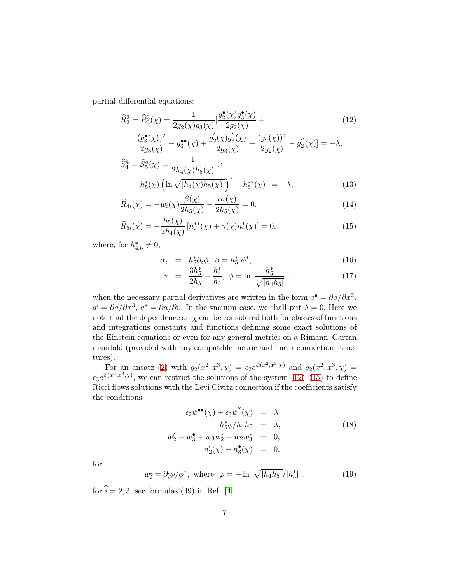partial differential equations:

<span id="page-6-0"></span>
$$
\widehat{R}_{2}^{2} = \widehat{R}_{3}^{3}(\chi) = \frac{1}{2g_{2}(\chi)g_{3}(\chi)} \left[ \frac{g_{2}^{\bullet}(\chi)g_{3}^{\bullet}(\chi)}{2g_{2}(\chi)} + \frac{(g_{3}^{\bullet}(\chi))^{2}}{2g_{3}(\chi)} - g_{3}^{\bullet \bullet}(\chi) + \frac{g_{2}^{'}(\chi)g_{3}^{'}(\chi)}{2g_{3}(\chi)} + \frac{(g_{2}^{'}(\chi))^{2}}{2g_{2}(\chi)} - g_{2}^{''}(\chi) \right] = -\lambda,
$$
\n(12)

$$
\widehat{S}_4^4 = \widehat{S}_5^5(\chi) = \frac{1}{2h_4(\chi)h_5(\chi)} \times \left[ h_5^*(\chi) \left( \ln \sqrt{|h_4(\chi)h_5(\chi)|} \right)^* - h_5^{**}(\chi) \right] = -\lambda,
$$
\n(13)

$$
\widehat{R}_{4i}(\chi) = -w_i(\chi)\frac{\beta(\chi)}{2h_5(\chi)} - \frac{\alpha_i(\chi)}{2h_5(\chi)} = 0,
$$
\n(14)

$$
\widehat{R}_{5i}(\chi) = -\frac{h_5(\chi)}{2h_4(\chi)} \left[ n_i^{**}(\chi) + \gamma(\chi)n_i^{*}(\chi) \right] = 0, \tag{15}
$$

where, for  $h_{4,5}^* \neq 0$ ,

<span id="page-6-1"></span>
$$
\alpha_i = h_5^* \partial_i \phi, \ \beta = h_5^* \ \phi^*, \tag{16}
$$

$$
\gamma = \frac{3h_5^*}{2h_5} - \frac{h_4^*}{h_4}, \ \phi = \ln|\frac{h_5^*}{\sqrt{|h_4h_5|}}|,\tag{17}
$$

when the necessary partial derivatives are written in the form  $a^{\bullet} = \partial a / \partial x^2$ ,  $a' = \partial a/\partial x^3$ ,  $a^* = \partial a/\partial v$ . In the vacuum case, we shall put  $\lambda = 0$ . Here we note that the dependence on  $\chi$  can be considered both for classes of functions and integrations constants and functions defining some exact solutions of the Einstein equations or even for any general metrics on a Rimann–Cartan manifold (provided with any compatible metric and linear connection structures).

For an ansatz [\(2\)](#page-3-1) with  $g_2(x^2, x^3, \chi) = \epsilon_2 e^{\psi(x^2, x^3, \chi)}$  and  $g_2(x^2, x^3, \chi) =$  $\epsilon_3 e^{\psi(x^2, x^3, \chi)}$ , we can restrict the solutions of the system  $(12)$ – $(15)$  to define Ricci flows solutions with the Levi Civita connection if the coefficients satisfy the conditions

<span id="page-6-3"></span>
$$
\epsilon_2 \psi^{\bullet \bullet}(\chi) + \epsilon_3 \psi''(\chi) = \lambda
$$
  
\n
$$
h_5^* \phi / h_4 h_5 = \lambda,
$$
  
\n
$$
w_2' - w_3^{\bullet} + w_3 w_2^{\ast} - w_2 w_3^{\ast} = 0,
$$
  
\n
$$
n_2'(\chi) - n_3^{\bullet}(\chi) = 0,
$$
  
\n(18)

for

<span id="page-6-2"></span>
$$
w_{\hat{i}} = \partial_{\hat{i}} \phi / \phi^*, \text{ where } \varphi = -\ln \left| \sqrt{|h_4 h_5|} / |h_5^*| \right|, \tag{19}
$$

for  $\hat{i} = 2, 3$ , see formulas (49) in Ref. [\[4\]](#page-34-3).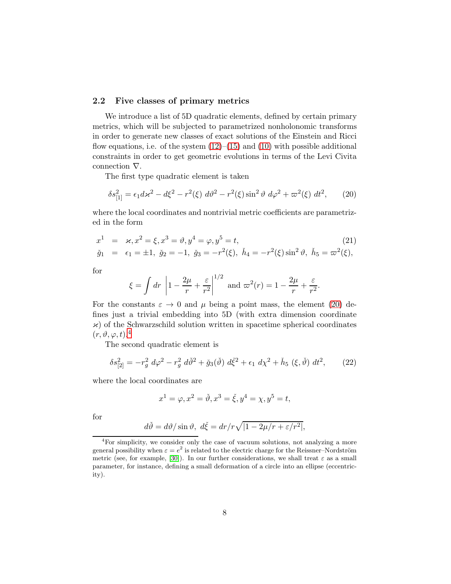#### 2.2 Five classes of primary metrics

We introduce a list of 5D quadratic elements, defined by certain primary metrics, which will be subjected to parametrized nonholonomic transforms in order to generate new classes of exact solutions of the Einstein and Ricci flow equations, i.e. of the system  $(12)$ – $(15)$  and  $(10)$  with possible additional constraints in order to get geometric evolutions in terms of the Levi Civita connection ∇.

The first type quadratic element is taken

<span id="page-7-0"></span>
$$
\delta s_{[1]}^2 = \epsilon_1 d\kappa^2 - d\xi^2 - r^2(\xi) d\vartheta^2 - r^2(\xi) \sin^2 \vartheta d\varphi^2 + \varpi^2(\xi) dt^2, \qquad (20)
$$

where the local coordinates and nontrivial metric coefficients are parametrized in the form

<span id="page-7-3"></span>
$$
x^{1} = \varkappa, x^{2} = \xi, x^{3} = \vartheta, y^{4} = \varphi, y^{5} = t,
$$
  
\n
$$
\check{g}_{1} = \epsilon_{1} = \pm 1, \ \check{g}_{2} = -1, \ \check{g}_{3} = -r^{2}(\xi), \ \check{h}_{4} = -r^{2}(\xi) \sin^{2} \vartheta, \ \check{h}_{5} = \varpi^{2}(\xi),
$$
\n(21)

for

$$
\xi = \int dr \left| 1 - \frac{2\mu}{r} + \frac{\varepsilon}{r^2} \right|^{1/2} \text{ and } \varpi^2(r) = 1 - \frac{2\mu}{r} + \frac{\varepsilon}{r^2}.
$$

For the constants  $\varepsilon \to 0$  and  $\mu$  being a point mass, the element [\(20\)](#page-7-0) defines just a trivial embedding into 5D (with extra dimension coordinate  $\mathcal{H}$ ) of the Schwarzschild solution written in spacetime spherical coordinates  $(r, \vartheta, \varphi, t).$ <sup>[4](#page-7-1)</sup>

The second quadratic element is

<span id="page-7-2"></span>
$$
\delta s_{[2]}^2 = -r_g^2 \ d\varphi^2 - r_g^2 \ d\check{\vartheta}^2 + \check{g}_3(\check{\vartheta}) \ d\check{\xi}^2 + \epsilon_1 \ d\chi^2 + \check{h}_5 \ (\xi, \check{\vartheta}) \ d\mathcal{t}^2,\tag{22}
$$

where the local coordinates are

$$
x^1=\varphi, x^2=\check{\vartheta}, x^3=\check{\xi}, y^4=\chi, y^5=t,
$$

for

$$
d\check{\theta} = d\theta / \sin \theta, \ d\check{\xi} = dr / r \sqrt{|1 - 2\mu / r + \varepsilon / r^2|},
$$

<span id="page-7-1"></span><sup>4</sup>For simplicity, we consider only the case of vacuum solutions, not analyzing a more general possibility when  $\varepsilon = e^2$  is related to the electric charge for the Reissner–Nordström metric (see, for example, [\[30\]](#page-36-8)). In our further considerations, we shall treat  $\varepsilon$  as a small parameter, for instance, defining a small deformation of a circle into an ellipse (eccentricity).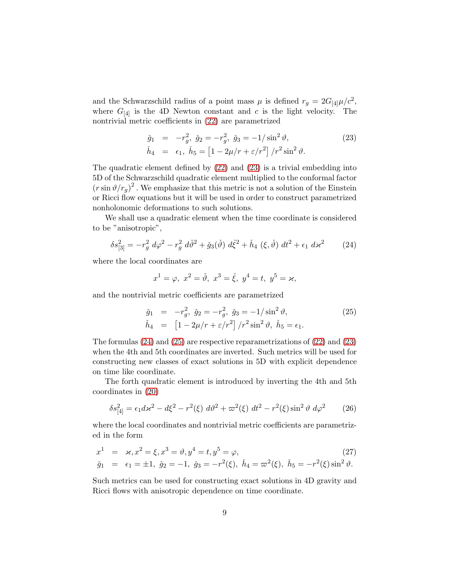and the Schwarzschild radius of a point mass  $\mu$  is defined  $r_g = 2G_{[4]}\mu/c^2$ , where  $G_{[4]}$  is the 4D Newton constant and c is the light velocity. The nontrivial metric coefficients in [\(22\)](#page-7-2) are parametrized

<span id="page-8-0"></span>
$$
\check{g}_1 = -r_g^2, \ \check{g}_2 = -r_g^2, \ \check{g}_3 = -1/\sin^2 \vartheta, \n\check{h}_4 = \epsilon_1, \ \check{h}_5 = \left[1 - 2\mu/r + \varepsilon/r^2\right]/r^2 \sin^2 \vartheta.
$$
\n(23)

The quadratic element defined by [\(22\)](#page-7-2) and [\(23\)](#page-8-0) is a trivial embedding into 5D of the Schwarzschild quadratic element multiplied to the conformal factor  $(r \sin \vartheta / r_g)^2$ . We emphasize that this metric is not a solution of the Einstein or Ricci flow equations but it will be used in order to construct parametrized nonholonomic deformations to such solutions.

We shall use a quadratic element when the time coordinate is considered to be "anisotropic",

<span id="page-8-1"></span>
$$
\delta s_{[3]}^2 = -r_g^2 \ d\varphi^2 - r_g^2 \ d\check{\vartheta}^2 + \check{g}_3(\check{\vartheta}) \ d\check{\xi}^2 + \check{h}_4 \ (\xi, \check{\vartheta}) \ d\mathcal{t}^2 + \epsilon_1 \ d\mathcal{z}^2 \tag{24}
$$

where the local coordinates are

$$
x^1 = \varphi
$$
,  $x^2 = \check{\vartheta}$ ,  $x^3 = \check{\xi}$ ,  $y^4 = t$ ,  $y^5 = \varkappa$ ,

and the nontrivial metric coefficients are parametrized

<span id="page-8-2"></span>
$$
\check{g}_1 = -r_g^2, \ \check{g}_2 = -r_g^2, \ \check{g}_3 = -1/\sin^2 \vartheta, \n\check{h}_4 = \left[1 - 2\mu/r + \varepsilon/r^2\right]/r^2 \sin^2 \vartheta, \ \check{h}_5 = \epsilon_1.
$$
\n(25)

The formulas [\(24\)](#page-8-1) and [\(25\)](#page-8-2) are respective reparametrizations of [\(22\)](#page-7-2) and [\(23\)](#page-8-0) when the 4th and 5th coordinates are inverted. Such metrics will be used for constructing new classes of exact solutions in 5D with explicit dependence on time like coordinate.

The forth quadratic element is introduced by inverting the 4th and 5th coordinates in [\(20\)](#page-7-0)

$$
\delta s_{[4]}^2 = \epsilon_1 d\varkappa^2 - d\xi^2 - r^2(\xi) d\vartheta^2 + \varpi^2(\xi) dt^2 - r^2(\xi) \sin^2 \vartheta d\varphi^2 \qquad (26)
$$

where the local coordinates and nontrivial metric coefficients are parametrized in the form

$$
x^{1} = \varkappa, x^{2} = \xi, x^{3} = \vartheta, y^{4} = t, y^{5} = \varphi,
$$
  
\n
$$
\check{g}_{1} = \epsilon_{1} = \pm 1, \ \check{g}_{2} = -1, \ \check{g}_{3} = -r^{2}(\xi), \ \check{h}_{4} = \varpi^{2}(\xi), \ \check{h}_{5} = -r^{2}(\xi) \sin^{2} \vartheta.
$$
\n(27)

Such metrics can be used for constructing exact solutions in 4D gravity and Ricci flows with anisotropic dependence on time coordinate.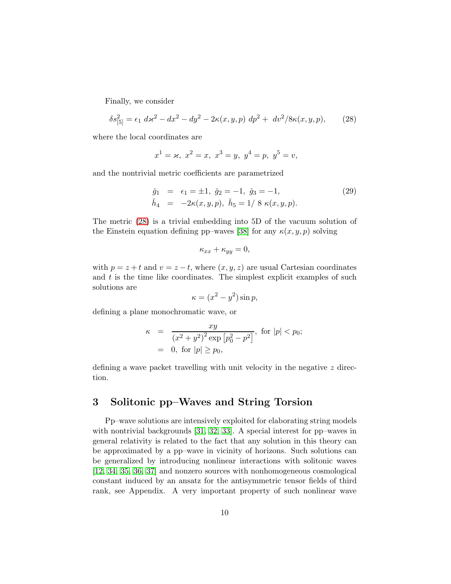Finally, we consider

<span id="page-9-0"></span>
$$
\delta s_{[5]}^2 = \epsilon_1 \, d\kappa^2 - dx^2 - dy^2 - 2\kappa(x, y, p) \, dp^2 + \, dv^2 / 8\kappa(x, y, p), \tag{28}
$$

where the local coordinates are

$$
x^1 = \varkappa, x^2 = x, x^3 = y, y^4 = p, y^5 = v,
$$

and the nontrivial metric coefficients are parametrized

$$
\check{g}_1 = \epsilon_1 = \pm 1, \ \check{g}_2 = -1, \ \check{g}_3 = -1,
$$
  
\n
$$
\check{h}_4 = -2\kappa(x, y, p), \ \check{h}_5 = 1/8 \ \kappa(x, y, p).
$$
\n(29)

The metric [\(28\)](#page-9-0) is a trivial embedding into 5D of the vacuum solution of the Einstein equation defining pp–waves [\[38\]](#page-37-0) for any  $\kappa(x, y, p)$  solving

$$
\kappa_{xx} + \kappa_{yy} = 0,
$$

with  $p = z + t$  and  $v = z - t$ , where  $(x, y, z)$  are usual Cartesian coordinates and  $t$  is the time like coordinates. The simplest explicit examples of such solutions are

$$
\kappa = (x^2 - y^2)\sin p,
$$

defining a plane monochromatic wave, or

$$
\kappa = \frac{xy}{(x^2 + y^2)^2 \exp [p_0^2 - p^2]}, \text{ for } |p| < p_0;
$$
  
= 0, for  $|p| \ge p_0$ ,

defining a wave packet travelling with unit velocity in the negative z direction.

## 3 Solitonic pp–Waves and String Torsion

Pp–wave solutions are intensively exploited for elaborating string models with nontrivial backgrounds [\[31,](#page-36-9) [32,](#page-36-10) [33\]](#page-36-11). A special interest for pp–waves in general relativity is related to the fact that any solution in this theory can be approximated by a pp–wave in vicinity of horizons. Such solutions can be generalized by introducing nonlinear interactions with solitonic waves [\[12,](#page-35-3) [34,](#page-36-12) [35,](#page-37-1) [36,](#page-37-2) [37\]](#page-37-3) and nonzero sources with nonhomogeneous cosmological constant induced by an ansatz for the antisymmetric tensor fields of third rank, see Appendix. A very important property of such nonlinear wave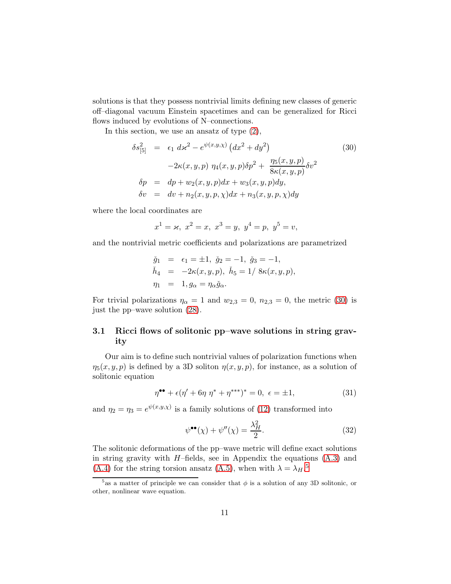solutions is that they possess nontrivial limits defining new classes of generic off–diagonal vacuum Einstein spacetimes and can be generalized for Ricci flows induced by evolutions of N–connections.

In this section, we use an ansatz of type [\(2\)](#page-3-1),

<span id="page-10-0"></span>
$$
\delta s_{[5]}^2 = \epsilon_1 \, d\varkappa^2 - e^{\psi(x,y,\chi)} \left( dx^2 + dy^2 \right) \tag{30}
$$
\n
$$
-2\kappa(x,y,p) \, \eta_4(x,y,p) \delta p^2 + \frac{\eta_5(x,y,p)}{8\kappa(x,y,p)} \delta v^2
$$
\n
$$
\delta p = dp + w_2(x,y,p) dx + w_3(x,y,p) dy, \quad \delta v = dv + n_2(x,y,p,\chi) dx + n_3(x,y,p,\chi) dy
$$

where the local coordinates are

$$
x^1 = x
$$
,  $x^2 = x$ ,  $x^3 = y$ ,  $y^4 = p$ ,  $y^5 = v$ ,

and the nontrivial metric coefficients and polarizations are parametrized

$$
\check{g}_1 = \epsilon_1 = \pm 1, \ \check{g}_2 = -1, \ \check{g}_3 = -1, \n\check{h}_4 = -2\kappa(x, y, p), \ \check{h}_5 = 1/8\kappa(x, y, p), \n\eta_1 = 1, g_\alpha = \eta_\alpha \check{g}_\alpha.
$$

For trivial polarizations  $\eta_{\alpha} = 1$  and  $w_{2,3} = 0$ ,  $n_{2,3} = 0$ , the metric [\(30\)](#page-10-0) is just the pp–wave solution [\(28\)](#page-9-0).

#### 3.1 Ricci flows of solitonic pp–wave solutions in string gravity

Our aim is to define such nontrivial values of polarization functions when  $\eta_5(x, y, p)$  is defined by a 3D soliton  $\eta(x, y, p)$ , for instance, as a solution of solitonic equation

<span id="page-10-3"></span>
$$
\eta^{\bullet \bullet} + \epsilon (\eta' + 6\eta \eta^* + \eta^{***})^* = 0, \ \epsilon = \pm 1,
$$
\n(31)

and  $\eta_2 = \eta_3 = e^{\psi(x,y,\chi)}$  is a family solutions of [\(12\)](#page-6-0) transformed into

<span id="page-10-2"></span>
$$
\psi^{\bullet \bullet}(\chi) + \psi''(\chi) = \frac{\lambda_H^2}{2}.\tag{32}
$$

The solitonic deformations of the pp–wave metric will define exact solutions in string gravity with  $H$ –fields, see in Appendix the equations  $(A.3)$  and [\(A.4\)](#page-33-1) for the string torsion ansatz [\(A.5\)](#page-33-2), when with  $\lambda = \lambda_H$ .<sup>[5](#page-10-1)</sup>

<span id="page-10-1"></span><sup>&</sup>lt;sup>5</sup> as a matter of principle we can consider that  $\phi$  is a solution of any 3D solitonic, or other, nonlinear wave equation.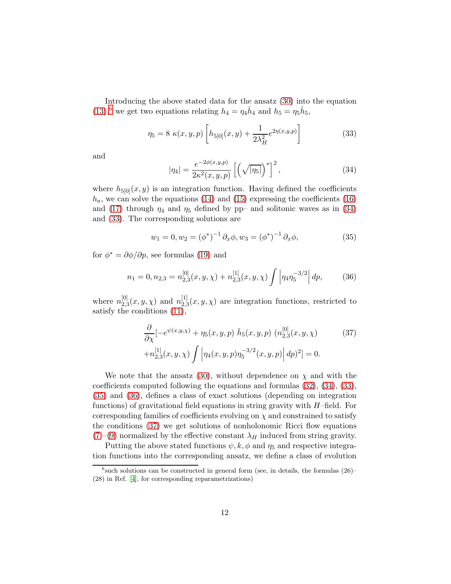Introducing the above stated data for the ansatz [\(30\)](#page-10-0) into the equation  $(13)$ <sup>[6](#page-11-0)</sup>, we get two equations relating  $h_4 = \eta_4 \dot{h}_4$  and  $h_5 = \eta_5 \dot{h}_5$ ,

<span id="page-11-2"></span>
$$
\eta_5 = 8 \kappa(x, y, p) \left[ h_{5[0]}(x, y) + \frac{1}{2\lambda_H^2} e^{2\eta(x, y, p)} \right]
$$
(33)

and

<span id="page-11-1"></span>
$$
|\eta_4| = \frac{e^{-2\phi(x,y,p)}}{2\kappa^2(x,y,p)} \left[ \left( \sqrt{|\eta_5|} \right)^* \right]^2, \tag{34}
$$

where  $h_{5[0]}(x, y)$  is an integration function. Having defined the coefficients  $h_a$ , we can solve the equations [\(14\)](#page-6-0) and [\(15\)](#page-6-0) expressing the coefficients [\(16\)](#page-6-1) and [\(17\)](#page-6-1) through  $\eta_4$  and  $\eta_5$  defined by pp– and solitonic waves as in [\(34\)](#page-11-1) and [\(33\)](#page-11-2). The corresponding solutions are

<span id="page-11-3"></span>
$$
w_1 = 0, w_2 = (\phi^*)^{-1} \partial_x \phi, w_3 = (\phi^*)^{-1} \partial_x \phi,
$$
 (35)

for  $\phi^* = \partial \phi / \partial p$ , see formulas [\(19\)](#page-6-2) and

<span id="page-11-4"></span>
$$
n_1 = 0, n_{2,3} = n_{2,3}^{[0]}(x, y, \chi) + n_{2,3}^{[1]}(x, y, \chi) \int \left| \eta_4 \eta_5^{-3/2} \right| dp, \tag{36}
$$

where  $n_2^{[0]}$  $_{2,3}^{[0]}(x,y,\chi)$  and  $n_{2,3}^{[1]}$  $2,3(x, y, \chi)$  are integration functions, restricted to satisfy the conditions [\(11\)](#page-5-3),

<span id="page-11-5"></span>
$$
\frac{\partial}{\partial \chi} \left[ -e^{\psi(x,y,\chi)} + \eta_5(x,y,p) \right] \tilde{h}_5(x,y,p) \left( n_{2,3}^{[0]}(x,y,\chi) \right] \tag{37}
$$
\n
$$
+ n_{2,3}^{[1]}(x,y,\chi) \int \left| \eta_4(x,y,p) \eta_5^{-3/2}(x,y,p) \right| dp)^2 \right] = 0.
$$

We note that the ansatz [\(30\)](#page-10-0), without dependence on  $\chi$  and with the coefficients computed following the equations and formulas [\(32\)](#page-10-2), [\(34\)](#page-11-1), [\(33\)](#page-11-2), [\(35\)](#page-11-3) and [\(36\)](#page-11-4), defines a class of exact solutions (depending on integration functions) of gravitational field equations in string gravity with  $H$ –field. For corresponding families of coefficients evolving on  $\chi$  and constrained to satisfy the conditions [\(37\)](#page-11-5) we get solutions of nonholonomic Ricci flow equations  $(7)-(9)$  $(7)-(9)$  $(7)-(9)$  normalized by the effective constant  $\lambda_H$  induced from string gravity.

Putting the above stated functions  $\psi, k, \phi$  and  $\eta_5$  and respective integration functions into the corresponding ansatz, we define a class of evolution

<span id="page-11-0"></span> $^6$ such solutions can be constructed in general form (see, in details, the formulas  $(26)$ -(28) in Ref. [\[4\]](#page-34-3), for corresponding reparametrizations)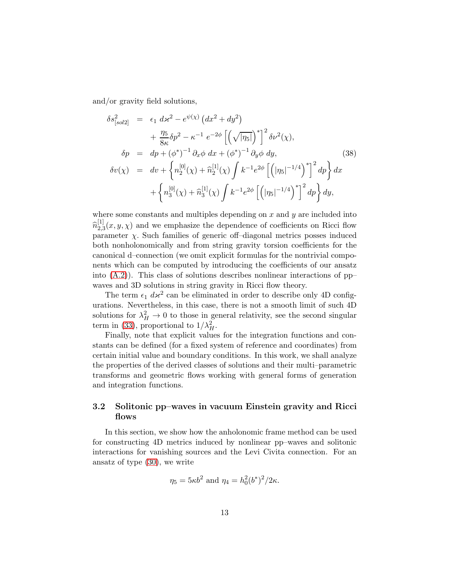and/or gravity field solutions,

$$
\delta s_{[sol2]}^2 = \epsilon_1 \, d\varkappa^2 - e^{\psi(\chi)} \left( dx^2 + dy^2 \right) \n+ \frac{\eta_5}{8\kappa} \delta p^2 - \kappa^{-1} \, e^{-2\phi} \left[ \left( \sqrt{|\eta_5|} \right)^* \right]^2 \delta \nu^2(\chi), \n\delta p = dp + (\phi^*)^{-1} \partial_x \phi \, dx + (\phi^*)^{-1} \partial_y \phi \, dy, \qquad (38) \n\delta v(\chi) = dv + \left\{ n_2^{[0]}(\chi) + \hat{n}_2^{[1]}(\chi) \int k^{-1} e^{2\phi} \left[ \left( |\eta_5|^{-1/4} \right)^* \right]^2 dp \right\} dx \n+ \left\{ n_3^{[0]}(\chi) + \hat{n}_3^{[1]}(\chi) \int k^{-1} e^{2\phi} \left[ \left( |\eta_5|^{-1/4} \right)^* \right]^2 dp \right\} dy,
$$
\n(39)

where some constants and multiples depending on  $x$  and  $y$  are included into  $\widehat{n}_{2,3}^{[1]}$  $2,3(x, y, \chi)$  and we emphasize the dependence of coefficients on Ricci flow parameter  $\chi$ . Such families of generic off-diagonal metrics posses induced both nonholonomically and from string gravity torsion coefficients for the canonical d–connection (we omit explicit formulas for the nontrivial components which can be computed by introducing the coefficients of our ansatz into [\(A.2\)](#page-33-3)). This class of solutions describes nonlinear interactions of pp– waves and 3D solutions in string gravity in Ricci flow theory.

The term  $\epsilon_1$   $d\mathbf{x}^2$  can be eliminated in order to describe only 4D configurations. Nevertheless, in this case, there is not a smooth limit of such 4D solutions for  $\lambda_H^2 \to 0$  to those in general relativity, see the second singular term in [\(33\)](#page-11-2), proportional to  $1/\lambda_H^2$ .

Finally, note that explicit values for the integration functions and constants can be defined (for a fixed system of reference and coordinates) from certain initial value and boundary conditions. In this work, we shall analyze the properties of the derived classes of solutions and their multi–parametric transforms and geometric flows working with general forms of generation and integration functions.

#### 3.2 Solitonic pp–waves in vacuum Einstein gravity and Ricci flows

In this section, we show how the anholonomic frame method can be used for constructing 4D metrics induced by nonlinear pp–waves and solitonic interactions for vanishing sources and the Levi Civita connection. For an ansatz of type [\(30\)](#page-10-0), we write

$$
\eta_5 = 5\kappa b^2
$$
 and  $\eta_4 = h_0^2 (b^*)^2 / 2\kappa$ .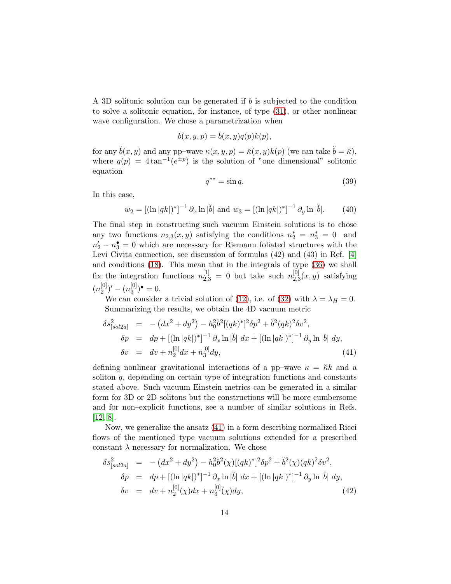A 3D solitonic solution can be generated if  $b$  is subjected to the condition to solve a solitonic equation, for instance, of type [\(31\)](#page-10-3), or other nonlinear wave configuration. We chose a parametrization when

$$
b(x, y, p) = \breve{b}(x, y)q(p)k(p),
$$

for any  $\check{b}(x, y)$  and any pp–wave  $\kappa(x, y, p) = \check{\kappa}(x, y)k(p)$  (we can take  $\check{b} = \check{\kappa}$ ), where  $q(p) = 4 \tan^{-1}(e^{\pm p})$  is the solution of "one dimensional" solitonic equation

<span id="page-13-3"></span>
$$
q^{**} = \sin q. \tag{39}
$$

In this case,

<span id="page-13-1"></span>
$$
w_2 = [(\ln |qk|)^*]^{-1} \partial_x \ln |\breve{b}| \text{ and } w_3 = [(\ln |qk|)^*]^{-1} \partial_y \ln |\breve{b}|. \tag{40}
$$

The final step in constructing such vacuum Einstein solutions is to chose any two functions  $n_{2,3}(x, y)$  satisfying the conditions  $n_2^* = n_3^* = 0$  and  $n'_2 - n_3^{\bullet} = 0$  which are necessary for Riemann foliated structures with the Levi Civita connection, see discussion of formulas (42) and (43) in Ref. [\[4\]](#page-34-3) and conditions [\(18\)](#page-6-3). This mean that in the integrals of type [\(36\)](#page-11-4) we shall fix the integration functions  $n_{2,3}^{[1]} = 0$  but take such  $n_{2,3}^{[0]}$  $_{2,3}^{\left[0\right]}(x,y)$  satisfying  $(n_2^{[0]}$  $\binom{[0]}{2}$ ' —  $(n_3^{[0]}$  $\binom{[0]}{3}$ <sup> $\bullet$ </sup> = 0.

We can consider a trivial solution of [\(12\)](#page-6-0), i.e. of [\(32\)](#page-10-2) with  $\lambda = \lambda_H = 0$ . Summarizing the results, we obtain the 4D vacuum metric

<span id="page-13-0"></span>
$$
\delta s_{[sol2a]}^2 = -(dx^2 + dy^2) - h_0^2 \breve{b}^2 [(qk)^*]^2 \delta p^2 + \breve{b}^2 (qk)^2 \delta v^2,
$$
  
\n
$$
\delta p = dp + [(\ln |qk|)^*]^{-1} \partial_x \ln |\breve{b}| dx + [(\ln |qk|)^*]^{-1} \partial_y \ln |\breve{b}| dy,
$$
  
\n
$$
\delta v = dv + n_2^{[0]} dx + n_3^{[0]} dy,
$$
\n(41)

defining nonlinear gravitational interactions of a pp-wave  $\kappa = \breve{\kappa}k$  and a soliton  $q$ , depending on certain type of integration functions and constants stated above. Such vacuum Einstein metrics can be generated in a similar form for 3D or 2D solitons but the constructions will be more cumbersome and for non–explicit functions, see a number of similar solutions in Refs. [\[12,](#page-35-3) [8\]](#page-34-7).

Now, we generalize the ansatz [\(41\)](#page-13-0) in a form describing normalized Ricci flows of the mentioned type vacuum solutions extended for a prescribed constant  $\lambda$  necessary for normalization. We chose

<span id="page-13-2"></span>
$$
\delta s_{[sol2a]}^2 = -(dx^2 + dy^2) - h_0^2 \breve{b}^2(\chi) [(qk)^*]^2 \delta p^2 + \breve{b}^2(\chi) (qk)^2 \delta v^2,
$$
  
\n
$$
\delta p = dp + [( \ln |qk|)^* ]^{-1} \partial_x \ln |\breve{b}| dx + [( \ln |qk|)^* ]^{-1} \partial_y \ln |\breve{b}| dy,
$$
  
\n
$$
\delta v = dv + n_2^{[0]}(\chi) dx + n_3^{[0]}(\chi) dy,
$$
\n(42)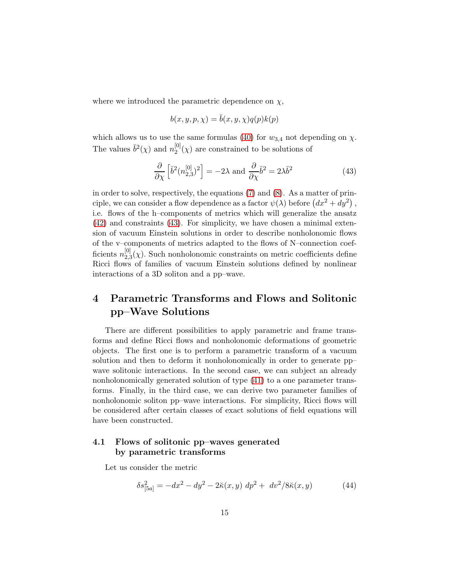where we introduced the parametric dependence on  $\chi$ ,

$$
b(x, y, p, \chi) = \breve{b}(x, y, \chi)q(p)k(p)
$$

which allows us to use the same formulas [\(40\)](#page-13-1) for  $w_{3,4}$  not depending on  $\chi$ . The values  $\check{b}^2(\chi)$  and  $n_2^{[0]}$  $2^{[0]}(\chi)$  are constrained to be solutions of

<span id="page-14-0"></span>
$$
\frac{\partial}{\partial \chi} \left[ \breve{b}^2 (n_{2,3}^{[0]})^2 \right] = -2\lambda \text{ and } \frac{\partial}{\partial \chi} \breve{b}^2 = 2\lambda \breve{b}^2 \tag{43}
$$

in order to solve, respectively, the equations [\(7\)](#page-5-1) and [\(8\)](#page-5-1). As a matter of principle, we can consider a flow dependence as a factor  $\psi(\lambda)$  before  $(dx^2 + dy^2)$ , i.e. flows of the h–components of metrics which will generalize the ansatz [\(42\)](#page-13-2) and constraints [\(43\)](#page-14-0). For simplicity, we have chosen a minimal extension of vacuum Einstein solutions in order to describe nonholonomic flows of the v–components of metrics adapted to the flows of N–connection coefficients  $n_{2}^{[0]}$  $2,3(\chi)$ . Such nonholonomic constraints on metric coefficients define Ricci flows of families of vacuum Einstein solutions defined by nonlinear interactions of a 3D soliton and a pp–wave.

## 4 Parametric Transforms and Flows and Solitonic pp–Wave Solutions

There are different possibilities to apply parametric and frame transforms and define Ricci flows and nonholonomic deformations of geometric objects. The first one is to perform a parametric transform of a vacuum solution and then to deform it nonholonomically in order to generate pp– wave solitonic interactions. In the second case, we can subject an already nonholonomically generated solution of type [\(41\)](#page-13-0) to a one parameter transforms. Finally, in the third case, we can derive two parameter families of nonholonomic soliton pp–wave interactions. For simplicity, Ricci flows will be considered after certain classes of exact solutions of field equations will have been constructed.

## 4.1 Flows of solitonic pp–waves generated by parametric transforms

Let us consider the metric

<span id="page-14-1"></span>
$$
\delta s_{[5a]}^2 = -dx^2 - dy^2 - 2\kappa(x, y) dp^2 + dv^2/8\kappa(x, y)
$$
 (44)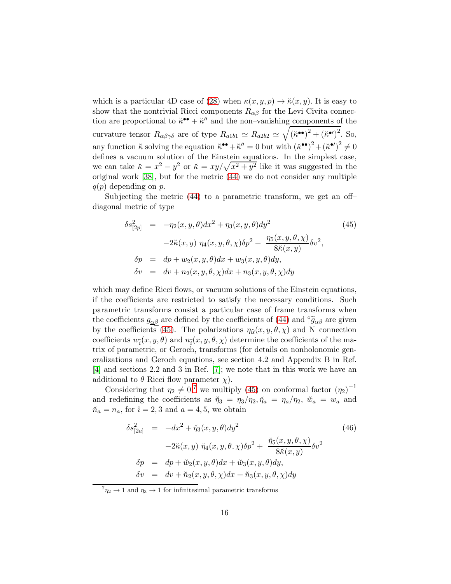which is a particular 4D case of [\(28\)](#page-9-0) when  $\kappa(x, y, p) \to \breve{\kappa}(x, y)$ . It is easy to show that the nontrivial Ricci components  $R_{\alpha\beta}$  for the Levi Civita connection are proportional to  $\ddot{\kappa}^{\bullet\bullet} + \ddot{\kappa}''$  and the non-vanishing components of the curvature tensor  $R_{\alpha\beta\gamma\delta}$  are of type  $R_{a1b1} \simeq R_{a2b2} \simeq \sqrt{(\breve{\kappa}^{\bullet})^2 + (\breve{\kappa}^{\bullet})^2}$ . So, any function  $\breve{\kappa}$  solving the equation  $\breve{\kappa}^{\bullet\bullet} + \breve{\kappa}^{\prime\prime} = 0$  but with  $(\breve{\kappa}^{\bullet\bullet})^2 + (\breve{\kappa}^{\bullet\prime})^2 \neq 0$ defines a vacuum solution of the Einstein equations. In the simplest case, we can take  $\breve{\kappa} = x^2 - y^2$  or  $\breve{\kappa} = xy/\sqrt{x^2 + y^2}$  like it was suggested in the original work [\[38\]](#page-37-0), but for the metric [\(44\)](#page-14-1) we do not consider any multiple  $q(p)$  depending on p.

Subjecting the metric [\(44\)](#page-14-1) to a parametric transform, we get an off– diagonal metric of type

<span id="page-15-0"></span>
$$
\delta s_{[2p]}^2 = -\eta_2(x, y, \theta) dx^2 + \eta_3(x, y, \theta) dy^2
$$
\n
$$
-2\breve{\kappa}(x, y) \eta_4(x, y, \theta, \chi) \delta p^2 + \frac{\eta_5(x, y, \theta, \chi)}{8\breve{\kappa}(x, y)} \delta v^2,
$$
\n
$$
\delta p = dp + w_2(x, y, \theta) dx + w_3(x, y, \theta) dy,
$$
\n
$$
\delta v = dv + n_2(x, y, \theta, \chi) dx + n_3(x, y, \theta, \chi) dy
$$
\n(45)

which may define Ricci flows, or vacuum solutions of the Einstein equations, if the coefficients are restricted to satisfy the necessary conditions. Such parametric transforms consist a particular case of frame transforms when the coefficients  $g_{\alpha\beta}$  are defined by the coefficients of [\(44\)](#page-14-1) and  $\tilde{g}_{\alpha\beta}$  are given by the coefficients [\(45\)](#page-15-0). The polarizations  $\eta_{\hat{\alpha}}(x, y, \theta, \chi)$  and N–connection coefficients  $w_{\hat{i}}(x, y, \theta)$  and  $n_{\hat{i}}(x, y, \theta, \chi)$  determine the coefficients of the matrix of parametric, or Geroch, transforms (for details on nonholonomic generalizations and Geroch equations, see section 4.2 and Appendix B in Ref. [\[4\]](#page-34-3) and sections 2.2 and 3 in Ref. [\[7\]](#page-34-6); we note that in this work we have an additional to  $\theta$  Ricci flow parameter  $\chi$ ).

Considering that  $\eta_2 \neq 0,^7$  $\eta_2 \neq 0,^7$  we multiply [\(45\)](#page-15-0) on conformal factor  $(\eta_2)^{-1}$ and redefining the coefficients as  $\tilde{\eta}_3 = \eta_3/\eta_2$ ,  $\tilde{\eta}_a = \eta_a/\eta_2$ ,  $\tilde{w}_a = w_a$  and  $\breve{n}_a = n_a$ , for  $\hat{i} = 2, 3$  and  $a = 4, 5$ , we obtain

<span id="page-15-2"></span>
$$
\delta s_{[2a]}^2 = -dx^2 + \breve{\eta}_3(x, y, \theta) dy^2
$$
\n
$$
-2\breve{\kappa}(x, y) \; \breve{\eta}_4(x, y, \theta, \chi) \delta p^2 + \frac{\breve{\eta}_5(x, y, \theta, \chi)}{8\breve{\kappa}(x, y)} \delta v^2
$$
\n
$$
\delta p = dp + \breve{w}_2(x, y, \theta) dx + \breve{w}_3(x, y, \theta) dy,
$$
\n
$$
\delta v = dv + \breve{\eta}_2(x, y, \theta, \chi) dx + \breve{\eta}_3(x, y, \theta, \chi) dy
$$
\n(46)

<span id="page-15-1"></span> ${}^{7}\eta_2 \rightarrow 1$  and  $\eta_3 \rightarrow 1$  for infinitesimal parametric transforms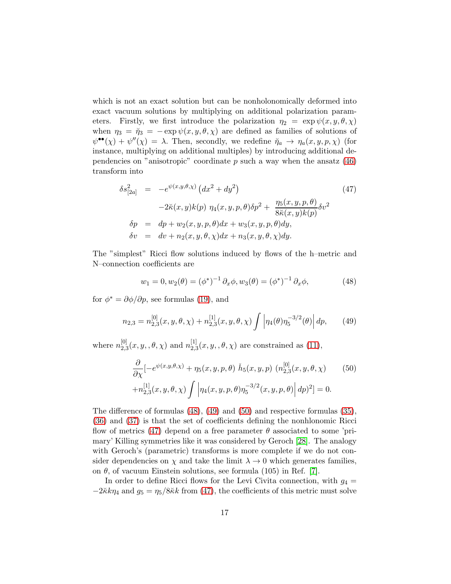which is not an exact solution but can be nonholonomically deformed into exact vacuum solutions by multiplying on additional polarization parameters. Firstly, we first introduce the polarization  $\eta_2 = \exp \psi(x, y, \theta, \chi)$ when  $\eta_3 = \check{\eta}_3 = -\exp \psi(x, y, \theta, \chi)$  are defined as families of solutions of  $\psi^{\bullet\bullet}(\chi) + \psi''(\chi) = \lambda$ . Then, secondly, we redefine  $\breve{\eta}_a \to \eta_a(x, y, p, \chi)$  (for instance, multiplying on additional multiples) by introducing additional dependencies on "anisotropic" coordinate  $p$  such a way when the ansatz  $(46)$ transform into

<span id="page-16-3"></span>
$$
\delta s_{[2a]}^2 = -e^{\psi(x,y,\theta,\chi)} (dx^2 + dy^2)
$$
\n
$$
-2\kappa(x,y)k(p) \eta_4(x,y,p,\theta)\delta p^2 + \frac{\eta_5(x,y,p,\theta)}{8\kappa(x,y)k(p)} \delta v^2
$$
\n
$$
\delta p = dp + w_2(x,y,p,\theta)dx + w_3(x,y,p,\theta)dy,
$$
\n
$$
\delta v = dv + n_2(x,y,\theta,\chi)dx + n_3(x,y,\theta,\chi)dy.
$$
\n(47)

The "simplest" Ricci flow solutions induced by flows of the h–metric and N–connection coefficients are

<span id="page-16-0"></span>
$$
w_1 = 0, w_2(\theta) = (\phi^*)^{-1} \partial_x \phi, w_3(\theta) = (\phi^*)^{-1} \partial_x \phi,
$$
 (48)

for  $\phi^* = \partial \phi / \partial p$ , see formulas [\(19\)](#page-6-2), and

<span id="page-16-1"></span>
$$
n_{2,3} = n_{2,3}^{[0]}(x, y, \theta, \chi) + n_{2,3}^{[1]}(x, y, \theta, \chi) \int \left| \eta_4(\theta) \eta_5^{-3/2}(\theta) \right| dp, \qquad (49)
$$

where  $n_{2,j}^{[0]}$  $_{2,3}^{[0]}(x, y, ,\theta, \chi)$  and  $n_{2,3}^{[1]}$  $2,3^{[1]}_{2,3}(x,y,\theta,\chi)$  are constrained as [\(11\)](#page-5-3),

<span id="page-16-2"></span>
$$
\frac{\partial}{\partial \chi} \left[ -e^{\psi(x,y,\theta,\chi)} + \eta_5(x,y,p,\theta) \right] \tilde{h}_5(x,y,p) \left( n_{2,3}^{[0]}(x,y,\theta,\chi) - n_{2,3}^{[1]}(x,y,\theta,\chi) \right) \left[ \eta_4(x,y,p,\theta) \eta_5^{-3/2}(x,y,p,\theta) \right] dp)^2 \right] = 0.
$$
\n(50)

The difference of formulas [\(48\)](#page-16-0), [\(49\)](#page-16-1) and [\(50\)](#page-16-2) and respective formulas [\(35\)](#page-11-3), [\(36\)](#page-11-4) and [\(37\)](#page-11-5) is that the set of coefficients defining the nonhlonomic Ricci flow of metrics [\(47\)](#page-16-3) depend on a free parameter  $\theta$  associated to some 'primary' Killing symmetries like it was considered by Geroch [\[28\]](#page-36-6). The analogy with Geroch's (parametric) transforms is more complete if we do not consider dependencies on  $\chi$  and take the limit  $\lambda \to 0$  which generates families, on  $\theta$ , of vacuum Einstein solutions, see formula (105) in Ref. [\[7\]](#page-34-6).

In order to define Ricci flows for the Levi Civita connection, with  $g_4 =$  $-2\kappa k\eta_4$  and  $g_5 = \eta_5/8\kappa k$  from [\(47\)](#page-16-3), the coefficients of this metric must solve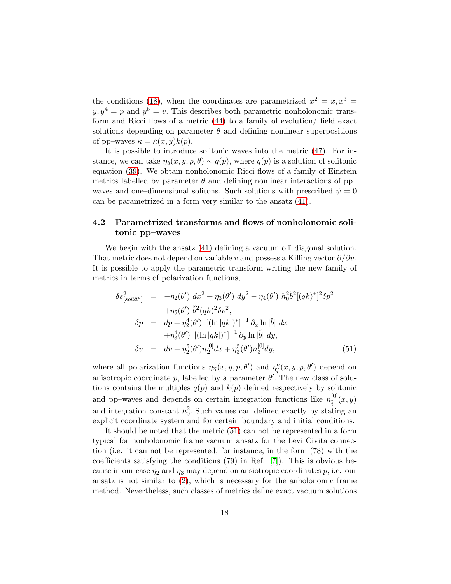the conditions [\(18\)](#page-6-3), when the coordinates are parametrized  $x^2 = x, x^3 =$  $y, y^4 = p$  and  $y^5 = v$ . This describes both parametric nonholonomic transform and Ricci flows of a metric [\(44\)](#page-14-1) to a family of evolution/ field exact solutions depending on parameter  $\theta$  and defining nonlinear superpositions of pp–waves  $\kappa = \breve{\kappa}(x, y)k(p)$ .

It is possible to introduce solitonic waves into the metric [\(47\)](#page-16-3). For instance, we can take  $\eta_5(x, y, p, \theta) \sim q(p)$ , where  $q(p)$  is a solution of solitonic equation [\(39\)](#page-13-3). We obtain nonholonomic Ricci flows of a family of Einstein metrics labelled by parameter  $\theta$  and defining nonlinear interactions of pp– waves and one–dimensional solitons. Such solutions with prescribed  $\psi = 0$ can be parametrized in a form very similar to the ansatz [\(41\)](#page-13-0).

### 4.2 Parametrized transforms and flows of nonholonomic solitonic pp–waves

We begin with the ansatz [\(41\)](#page-13-0) defining a vacuum of f-diagonal solution. That metric does not depend on variable v and possess a Killing vector  $\partial/\partial v$ . It is possible to apply the parametric transform writing the new family of metrics in terms of polarization functions,

<span id="page-17-0"></span>
$$
\delta s_{[sol2\theta']}^{2} = -\eta_{2}(\theta') dx^{2} + \eta_{3}(\theta') dy^{2} - \eta_{4}(\theta') h_{0}^{2} \check{b}^{2} [(qk)^{*}]^{2} \delta p^{2} \n+ \eta_{5}(\theta') \check{b}^{2} (qk)^{2} \delta v^{2}, \n\delta p = dp + \eta_{2}^{4}(\theta') [(\ln |qk|)^{*}]^{-1} \partial_{x} \ln |\check{b}| dx \n+ \eta_{3}^{4}(\theta') [(\ln |qk|)^{*}]^{-1} \partial_{y} \ln |\check{b}| dy, \n\delta v = dv + \eta_{2}^{5}(\theta') n_{2}^{[0]} dx + \eta_{3}^{5}(\theta') n_{3}^{[0]} dy,
$$
\n(51)

where all polarization functions  $\eta_{\widehat{\alpha}}(x, y, p, \theta')$  and  $\eta_{\widehat{i}}^a(x, y, p, \theta')$  depend on anisotropic coordinate p, labelled by a parameter  $\theta'$ . The new class of solutions contains the multiples  $q(p)$  and  $k(p)$  defined respectively by solitonic and pp–waves and depends on certain integration functions like  $n_{\hat{i}}^{[0]}(x,y)$ and integration constant  $h_0^2$ . Such values can defined exactly by stating an explicit coordinate system and for certain boundary and initial conditions.

It should be noted that the metric [\(51\)](#page-17-0) can not be represented in a form typical for nonholonomic frame vacuum ansatz for the Levi Civita connection (i.e. it can not be represented, for instance, in the form (78) with the coefficients satisfying the conditions (79) in Ref. [\[7\]](#page-34-6)). This is obvious because in our case  $\eta_2$  and  $\eta_3$  may depend on ansiotropic coordinates p, i.e. our ansatz is not similar to  $(2)$ , which is necessary for the anholonomic frame method. Nevertheless, such classes of metrics define exact vacuum solutions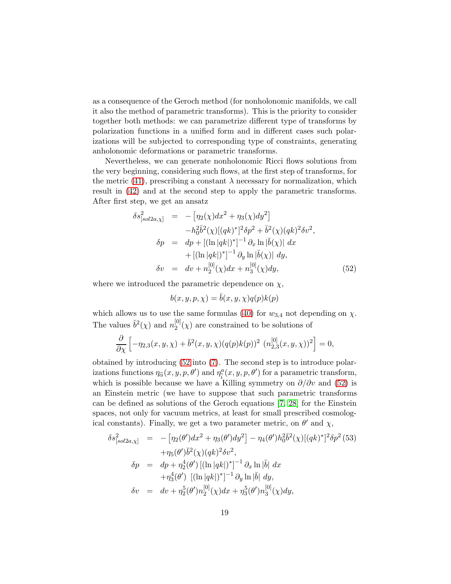as a consequence of the Geroch method (for nonholonomic manifolds, we call it also the method of parametric transforms). This is the priority to consider together both methods: we can parametrize different type of transforms by polarization functions in a unified form and in different cases such polarizations will be subjected to corresponding type of constraints, generating anholonomic deformations or parametric transforms.

Nevertheless, we can generate nonholonomic Ricci flows solutions from the very beginning, considering such flows, at the first step of transforms, for the metric [\(41\)](#page-13-0), prescribing a constant  $\lambda$  necessary for normalization, which result in [\(42\)](#page-13-2) and at the second step to apply the parametric transforms. After first step, we get an ansatz

<span id="page-18-0"></span>
$$
\delta s_{[sol2a,\chi]}^2 = -[\eta_2(\chi)dx^2 + \eta_3(\chi)dy^2] \n- h_0^2\delta^2(\chi)[(qk)^*]^2\delta p^2 + \delta^2(\chi)(qk)^2\delta v^2, \n\delta p = dp + [(\ln|qk|)^*]^{-1}\partial_x \ln|\breve{b}(\chi)| dx \n+ [(\ln|qk|)^*]^{-1}\partial_y \ln|\breve{b}(\chi)| dy, \n\delta v = dv + n_2^{[0]}(\chi)dx + n_3^{[0]}(\chi)dy,
$$
\n(52)

where we introduced the parametric dependence on  $\chi$ ,

$$
b(x, y, p, \chi) = \breve{b}(x, y, \chi)q(p)k(p)
$$

which allows us to use the same formulas [\(40\)](#page-13-1) for  $w_{3,4}$  not depending on  $\chi$ . The values  $\check{b}^2(\chi)$  and  $n_2^{[0]}$  $2^{[0]}(\chi)$  are constrained to be solutions of

$$
\frac{\partial}{\partial \chi} \left[ -\eta_{2,3}(x,y,\chi) + \breve{b}^2(x,y,\chi)(q(p)k(p))^2 \left( n_{2,3}^{[0]}(x,y,\chi) \right)^2 \right] = 0,
$$

obtained by introducing [\(52](#page-18-0) into [\(7\)](#page-5-1). The second step is to introduce polarizations functions  $\eta_{\widehat{\alpha}}(x, y, p, \theta')$  and  $\eta_{\widehat{i}}^a(x, y, p, \theta')$  for a parametric transform, which is possible because we have a Killing symmetry on  $\partial/\partial v$  and [\(52\)](#page-18-0) is an Einstein metric (we have to suppose that such parametric transforms can be defined as solutions of the Geroch equations [\[7,](#page-34-6) [28\]](#page-36-6) for the Einstein spaces, not only for vacuum metrics, at least for small prescribed cosmological constants). Finally, we get a two parameter metric, on  $\theta'$  and  $\chi$ ,

$$
\delta s_{[sol2a,\chi]}^2 = -\left[\eta_2(\theta')dx^2 + \eta_3(\theta')dy^2\right] - \eta_4(\theta')h_0^2\breve{b}^2(\chi)[(qk)^*]^2\delta p^2 (53) \n+ \eta_5(\theta')\breve{b}^2(\chi)(qk)^2\delta v^2, \n\delta p = dp + \eta_2^4(\theta')\left[ (\ln|qk|)^* \right]^{-1}\partial_x \ln|\breve{b}| \, dx \n+ \eta_3^4(\theta')\left[ (\ln|qk|)^* \right]^{-1}\partial_y \ln|\breve{b}| \, dy, \n\delta v = dv + \eta_2^5(\theta')n_2^{[0]}(\chi)dx + \eta_3^5(\theta')n_3^{[0]}(\chi)dy,
$$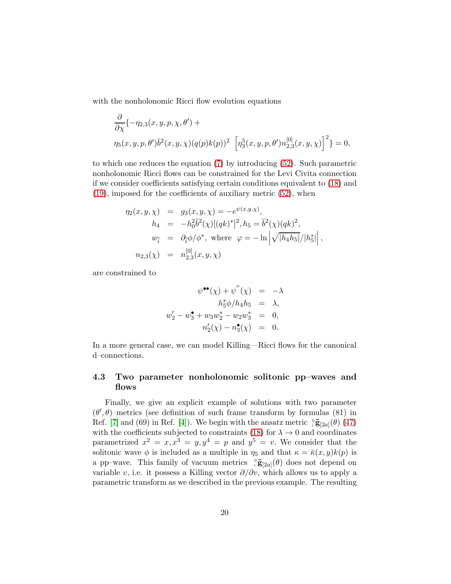with the nonholonomic Ricci flow evolution equations

$$
\frac{\partial}{\partial \chi} \{-\eta_{2,3}(x, y, p, \chi, \theta') + \eta_5(x, y, p, \theta')\check{b}^2(x, y, \chi)(q(p)k(p))^2 \left[\eta_3^5(x, y, p, \theta')n_{2,3}^{[0]}(x, y, \chi)\right]^2\} = 0,
$$

to which one reduces the equation [\(7\)](#page-5-1) by introducing [\(52\)](#page-18-0). Such parametric nonholonomic Ricci flows can be constrained for the Levi Civita connection if we consider coefficients satisfying certain conditions equivalent to [\(18\)](#page-6-3) and [\(19\)](#page-6-2), imposed for the coefficients of auxiliary metric [\(52\)](#page-18-0), when

$$
\eta_2(x, y, \chi) = g_3(x, y, \chi) = -e^{\psi(x, y, \chi)},
$$
  
\n
$$
h_4 = -h_0^2 \check{b}^2(\chi) [(qk)^*]^2, h_5 = \check{b}^2(\chi) (qk)^2,
$$
  
\n
$$
w_{\hat{i}} = \partial_{\hat{i}} \phi / \phi^*, \text{ where } \varphi = -\ln \left| \sqrt{|h_4 h_5|} / |h_5^*| \right|,
$$
  
\n
$$
n_{2,3}(\chi) = n_{2,3}^{[0]}(x, y, \chi)
$$

are constrained to

$$
\psi^{\bullet \bullet}(\chi) + \psi''(\chi) = -\lambda \nh_5^* \phi/h_4 h_5 = \lambda, \nw_2' - w_3^{\bullet} + w_3 w_2^* - w_2 w_3^* = 0, \nn_2'(\chi) - n_3^{\bullet}(\chi) = 0.
$$

In a more general case, we can model Killing—Ricci flows for the canonical d–connections.

#### 4.3 Two parameter nonholonomic solitonic pp–waves and flows

Finally, we give an explicit example of solutions with two parameter  $(\theta', \theta)$ -metrics (see definition of such frame transform by formulas (81) in Ref. [\[7\]](#page-34-6) and (69) in Ref. [\[4\]](#page-34-3)). We begin with the ansatz metric  $\frac{\circ}{\sqrt{5}}$  (2a]( $\theta$ ) [\(47\)](#page-16-3) with the coefficients subjected to constraints [\(18\)](#page-6-3) for  $\lambda \to 0$  and coordinates parametrized  $x^2 = x, x^3 = y, y^4 = p$  and  $y^5 = v$ . We consider that the solitonic wave  $\phi$  is included as a multiple in  $\eta_5$  and that  $\kappa = \breve{\kappa}(x, y)k(p)$  is a pp–wave. This family of vacuum metrics  $\frac{\partial}{\partial} \tilde{\mathbf{g}}_{[2a]}(\theta)$  does not depend on variable v, i.e. it possess a Killing vector  $\partial/\partial v$ , which allows us to apply a parametric transform as we described in the previous example. The resulting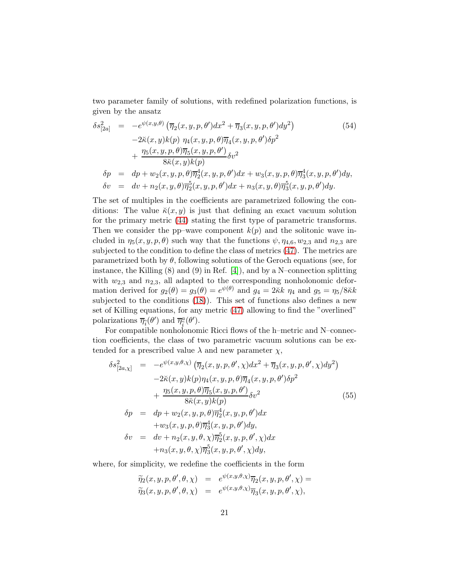two parameter family of solutions, with redefined polarization functions, is given by the ansatz

<span id="page-20-1"></span>
$$
\delta s_{[2a]}^2 = -e^{\psi(x,y,\theta)} \left( \overline{\eta}_2(x,y,p,\theta') dx^2 + \overline{\eta}_3(x,y,p,\theta') dy^2 \right)
$$
(54)  
\n
$$
-2\breve{\kappa}(x,y)k(p) \eta_4(x,y,p,\theta) \overline{\eta}_4(x,y,p,\theta') \delta p^2
$$
\n
$$
+ \frac{\eta_5(x,y,p,\theta) \overline{\eta}_5(x,y,p,\theta')}{8\breve{\kappa}(x,y)k(p)} \delta v^2
$$
\n
$$
\delta p = dp + w_2(x,y,p,\theta) \overline{\eta}_2^4(x,y,p,\theta') dx + w_3(x,y,p,\theta) \overline{\eta}_3^4(x,y,p,\theta') dy,
$$
\n
$$
\delta v = dv + n_2(x,y,\theta) \overline{\eta}_2^5(x,y,p,\theta') dx + n_3(x,y,\theta) \overline{\eta}_3^5(x,y,p,\theta') dy.
$$

The set of multiples in the coefficients are parametrized following the conditions: The value  $\breve{\kappa}(x, y)$  is just that defining an exact vacuum solution for the primary metric [\(44\)](#page-14-1) stating the first type of parametric transforms. Then we consider the pp–wave component  $k(p)$  and the solitonic wave included in  $\eta_5(x, y, p, \theta)$  such way that the functions  $\psi, \eta_{4,6}, w_{2,3}$  and  $n_{2,3}$  are subjected to the condition to define the class of metrics [\(47\)](#page-16-3). The metrics are parametrized both by  $\theta$ , following solutions of the Geroch equations (see, for instance, the Killing (8) and (9) in Ref. [\[4\]](#page-34-3)), and by a N–connection splitting with  $w_{2,3}$  and  $n_{2,3}$ , all adapted to the corresponding nonholonomic deformation derived for  $g_2(\theta) = g_3(\theta) = e^{\psi(\theta)}$  and  $g_4 = 2\kappa k \eta_4$  and  $g_5 = \eta_5/8\kappa k$ subjected to the conditions [\(18\)](#page-6-3)). This set of functions also defines a new set of Killing equations, for any metric [\(47\)](#page-16-3) allowing to find the "overlined" polarizations  $\overline{\eta}_{\widehat{i}}(\theta')$  and  $\overline{\eta}_{\widehat{i}}^a(\theta').$ 

For compatible nonholonomic Ricci flows of the h–metric and N–connection coefficients, the class of two parametric vacuum solutions can be extended for a prescribed value  $\lambda$  and new parameter  $\chi$ ,

<span id="page-20-0"></span>
$$
\delta s_{[2a,\chi]}^{2} = -e^{\psi(x,y,\theta,\chi)} (\overline{\eta}_{2}(x,y,p,\theta',\chi)dx^{2} + \overline{\eta}_{3}(x,y,p,\theta',\chi)dy^{2})
$$
  
\n
$$
-2\breve{\kappa}(x,y)k(p)\eta_{4}(x,y,p,\theta)\overline{\eta}_{4}(x,y,p,\theta')\delta p^{2}
$$
  
\n
$$
+ \frac{\eta_{5}(x,y,p,\theta)\overline{\eta}_{5}(x,y,p,\theta')}{8\breve{\kappa}(x,y)k(p)}\delta v^{2}
$$
  
\n
$$
\delta p = dp + w_{2}(x,y,p,\theta)\overline{\eta}_{2}^{4}(x,y,p,\theta')dx
$$
  
\n
$$
+w_{3}(x,y,p,\theta)\overline{\eta}_{3}^{4}(x,y,p,\theta')dy,
$$
  
\n
$$
\delta v = dv + n_{2}(x,y,\theta,\chi)\overline{\eta}_{2}^{5}(x,y,p,\theta',\chi)dx
$$
  
\n
$$
+ n_{3}(x,y,\theta,\chi)\overline{\eta}_{3}^{5}(x,y,p,\theta',\chi)dy,
$$
  
\n(55)

where, for simplicity, we redefine the coefficients in the form

$$
\widetilde{\eta}_2(x, y, p, \theta', \theta, \chi) = e^{\psi(x, y, \theta, \chi)} \overline{\eta}_2(x, y, p, \theta', \chi) = \n\widetilde{\eta}_3(x, y, p, \theta', \theta, \chi) = e^{\psi(x, y, \theta, \chi)} \overline{\eta}_3(x, y, p, \theta', \chi),
$$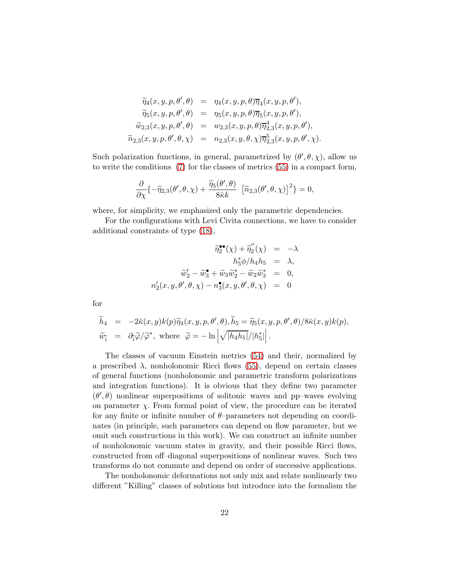$$
\widetilde{\eta}_4(x, y, p, \theta', \theta) = \eta_4(x, y, p, \theta) \overline{\eta}_4(x, y, p, \theta'),\n\widetilde{\eta}_5(x, y, p, \theta', \theta) = \eta_5(x, y, p, \theta) \overline{\eta}_5(x, y, p, \theta'),\n\widetilde{\omega}_{2,3}(x, y, p, \theta', \theta) = w_{2,3}(x, y, p, \theta) \overline{\eta}_{2,3}^4(x, y, p, \theta'),\n\widetilde{n}_{2,3}(x, y, p, \theta', \theta, \chi) = n_{2,3}(x, y, \theta, \chi) \overline{\eta}_{2,3}^5(x, y, p, \theta', \chi).
$$

Such polarization functions, in general, parametrized by  $(\theta', \theta, \chi)$ , allow us to write the conditions [\(7\)](#page-5-1) for the classes of metrics [\(55\)](#page-20-0) in a compact form,

$$
\frac{\partial}{\partial \chi} \{-\widetilde{\eta}_{2,3}(\theta',\theta,\chi)+\frac{\widetilde{\eta}_{5}(\theta',\theta)}{8\ddot{\kappa}k}\left[\widetilde{n}_{2,3}(\theta',\theta,\chi)\right]^{2}\}=0,
$$

where, for simplicity, we emphasized only the parametric dependencies.

For the configurations with Levi Civita connections, we have to consider additional constraints of type [\(18\)](#page-6-3),

$$
\widetilde{\eta}_2^{\bullet\bullet}(\chi) + \widetilde{\eta}_2''(\chi) = -\lambda
$$
  
\n
$$
h_5^* \phi / h_4 h_5 = \lambda,
$$
  
\n
$$
\widetilde{w}_2' - \widetilde{w}_3^{\bullet} + \widetilde{w}_3 \widetilde{w}_2^{\ast} - \widetilde{w}_2 \widetilde{w}_3^{\ast} = 0,
$$
  
\n
$$
n_2'(x, y, \theta', \theta, \chi) - n_3^{\bullet}(x, y, \theta', \theta, \chi) = 0
$$

for

$$
\widetilde{h}_4 = -2\breve{\kappa}(x, y)k(p)\widetilde{\eta}_4(x, y, p, \theta', \theta), \widetilde{h}_5 = \widetilde{\eta}_5(x, y, p, \theta', \theta)/8\breve{\kappa}(x, y)k(p), \n\widetilde{w}_{\widehat{i}} = \partial_{\widehat{i}}\widetilde{\varphi}/\widetilde{\varphi}^*, \text{ where } \widetilde{\varphi} = -\ln\left|\sqrt{|h_4h_5|}/|h_5^*|\right|.
$$

The classes of vacuum Einstein metrics [\(54\)](#page-20-1) and their, normalized by a prescribed  $\lambda$ , nonholonomic Ricci flows [\(55\)](#page-20-0), depend on certain classes of general functions (nonholonomic and parametric transform polarizations and integration functions). It is obvious that they define two parameter  $(\theta', \theta)$  nonlinear superpositions of solitonic waves and pp–waves evolving on parameter  $\chi$ . From formal point of view, the procedure can be iterated for any finite or infinite number of  $\theta$ -parameters not depending on coordinates (in principle, such parameters can depend on flow parameter, but we omit such constructions in this work). We can construct an infinite number of nonholonomic vacuum states in gravity, and their possible Ricci flows, constructed from off–diagonal superpositions of nonlinear waves. Such two transforms do not commute and depend on order of successive applications.

The nonholonomic deformations not only mix and relate nonlinearly two different "Killing" classes of solutions but introduce into the formalism the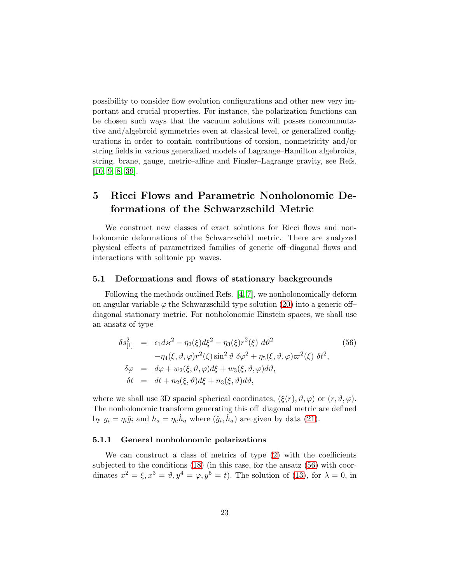possibility to consider flow evolution configurations and other new very important and crucial properties. For instance, the polarization functions can be chosen such ways that the vacuum solutions will posses noncommutative and/algebroid symmetries even at classical level, or generalized configurations in order to contain contributions of torsion, nonmetricity and/or string fields in various generalized models of Lagrange–Hamilton algebroids, string, brane, gauge, metric–affine and Finsler–Lagrange gravity, see Refs. [\[10,](#page-35-1) [9,](#page-35-0) [8,](#page-34-7) [39\]](#page-37-4).

## 5 Ricci Flows and Parametric Nonholonomic Deformations of the Schwarzschild Metric

We construct new classes of exact solutions for Ricci flows and nonholonomic deformations of the Schwarzschild metric. There are analyzed physical effects of parametrized families of generic off–diagonal flows and interactions with solitonic pp–waves.

#### 5.1 Deformations and flows of stationary backgrounds

Following the methods outlined Refs. [\[4,](#page-34-3) [7\]](#page-34-6), we nonholonomically deform on angular variable  $\varphi$  the Schwarzschild type solution [\(20\)](#page-7-0) into a generic off– diagonal stationary metric. For nonholonomic Einstein spaces, we shall use an ansatz of type

<span id="page-22-0"></span>
$$
\delta s_{[1]}^2 = \epsilon_1 d\kappa^2 - \eta_2(\xi) d\xi^2 - \eta_3(\xi) r^2(\xi) d\vartheta^2
$$
\n
$$
-\eta_4(\xi, \vartheta, \varphi) r^2(\xi) \sin^2 \vartheta \delta \varphi^2 + \eta_5(\xi, \vartheta, \varphi) \varpi^2(\xi) \delta t^2,
$$
\n
$$
\delta \varphi = d\varphi + w_2(\xi, \vartheta, \varphi) d\xi + w_3(\xi, \vartheta, \varphi) d\vartheta,
$$
\n
$$
\delta t = dt + n_2(\xi, \vartheta) d\xi + n_3(\xi, \vartheta) d\vartheta,
$$
\n(56)

where we shall use 3D spacial spherical coordinates,  $(\xi(r), \vartheta, \varphi)$  or  $(r, \vartheta, \varphi)$ . The nonholonomic transform generating this off–diagonal metric are defined by  $g_i = \eta_i \check{g}_i$  and  $h_a = \eta_a \check{h}_a$  where  $(\check{g}_i, \check{h}_a)$  are given by data [\(21\)](#page-7-3).

#### 5.1.1 General nonholonomic polarizations

We can construct a class of metrics of type [\(2\)](#page-3-1) with the coefficients subjected to the conditions [\(18\)](#page-6-3) (in this case, for the ansatz [\(56\)](#page-22-0) with coordinates  $x^2 = \xi, x^3 = \vartheta, y^4 = \varphi, y^5 = t$ . The solution of [\(13\)](#page-6-0), for  $\lambda = 0$ , in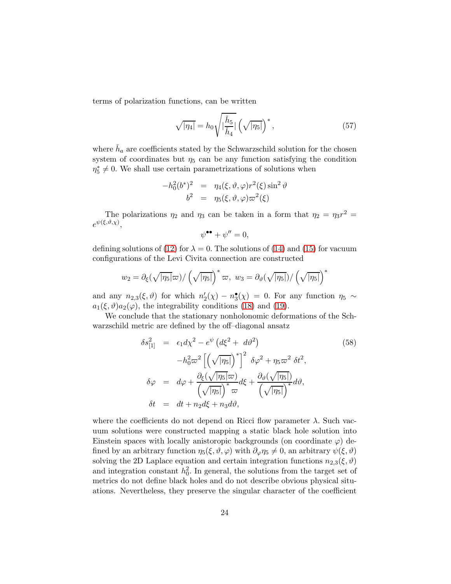terms of polarization functions, can be written

<span id="page-23-1"></span>
$$
\sqrt{|\eta_4|} = h_0 \sqrt{\left|\frac{\check{h}_5}{\check{h}_4}\right|} \left(\sqrt{|\eta_5|}\right)^*,\tag{57}
$$

where  $\check{h}_a$  are coefficients stated by the Schwarzschild solution for the chosen system of coordinates but  $\eta_5$  can be any function satisfying the condition  $\eta_5^* \neq 0$ . We shall use certain parametrizations of solutions when

$$
-h_0^2(b^*)^2 = \eta_4(\xi, \vartheta, \varphi) r^2(\xi) \sin^2 \vartheta
$$
  

$$
b^2 = \eta_5(\xi, \vartheta, \varphi) \varpi^2(\xi)
$$

The polarizations  $\eta_2$  and  $\eta_3$  can be taken in a form that  $\eta_2 = \eta_3 r^2 =$  $e^{\psi(\xi,\vartheta,\chi)},$ 

$$
\psi^{\bullet \bullet} + \psi'' = 0,
$$

defining solutions of [\(12\)](#page-6-0) for  $\lambda = 0$ . The solutions of [\(14\)](#page-6-0) and [\(15\)](#page-6-0) for vacuum configurations of the Levi Civita connection are constructed

$$
w_2 = \partial_{\xi}(\sqrt{|\eta_5|}\varpi)/(\sqrt{|\eta_5|})^* \varpi, w_3 = \partial_{\vartheta}(\sqrt{|\eta_5|})/(\sqrt{|\eta_5|})^*
$$

and any  $n_{2,3}(\xi,\vartheta)$  for which  $n'_2(\chi) - n_3^{\bullet}(\chi) = 0$ . For any function  $\eta_5 \sim$  $a_1(\xi, \vartheta) a_2(\varphi)$ , the integrability conditions [\(18\)](#page-6-3) and [\(19\)](#page-6-2).

We conclude that the stationary nonholonomic deformations of the Schwarzschild metric are defined by the off–diagonal ansatz

<span id="page-23-0"></span>
$$
\delta s_{[1]}^2 = \epsilon_1 d\chi^2 - e^{\psi} (d\xi^2 + d\vartheta^2)
$$
\n
$$
-h_0^2 \varpi^2 \left[ \left( \sqrt{|\eta_5|} \right)^* \right]^2 \delta \varphi^2 + \eta_5 \varpi^2 \delta t^2,
$$
\n
$$
\delta \varphi = d\varphi + \frac{\partial_{\xi} (\sqrt{|\eta_5|} \varpi)}{\left( \sqrt{|\eta_5|} \right)^* \varpi} d\xi + \frac{\partial_{\vartheta} (\sqrt{|\eta_5|})}{\left( \sqrt{|\eta_5|} \right)^*} d\vartheta,
$$
\n
$$
\delta t = dt + n_2 d\xi + n_3 d\vartheta,
$$
\n(58)

where the coefficients do not depend on Ricci flow parameter  $\lambda$ . Such vacuum solutions were constructed mapping a static black hole solution into Einstein spaces with locally anistoropic backgrounds (on coordinate  $\varphi$ ) defined by an arbitrary function  $\eta_5(\xi, \vartheta, \varphi)$  with  $\partial_{\varphi} \eta_5 \neq 0$ , an arbitrary  $\psi(\xi, \vartheta)$ solving the 2D Laplace equation and certain integration functions  $n_{2,3}(\xi, \vartheta)$ and integration constant  $h_0^2$ . In general, the solutions from the target set of metrics do not define black holes and do not describe obvious physical situations. Nevertheless, they preserve the singular character of the coefficient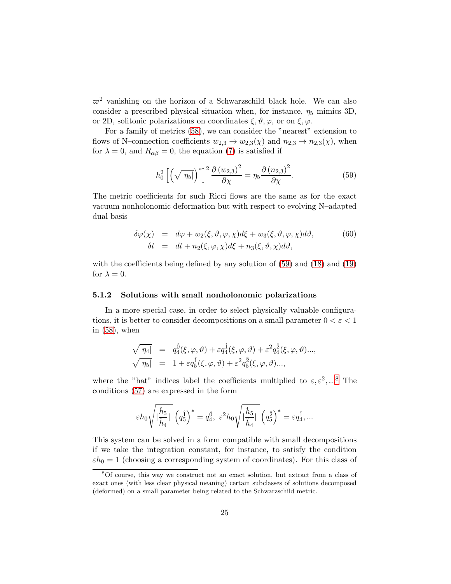$\varpi^2$  vanishing on the horizon of a Schwarzschild black hole. We can also consider a prescribed physical situation when, for instance,  $\eta_5$  mimics 3D, or 2D, solitonic polarizations on coordinates  $\xi, \vartheta, \varphi$ , or on  $\xi, \varphi$ .

For a family of metrics [\(58\)](#page-23-0), we can consider the "nearest" extension to flows of N–connection coefficients  $w_{2,3} \to w_{2,3}(\chi)$  and  $n_{2,3} \to n_{2,3}(\chi)$ , when for  $\lambda = 0$ , and  $R_{\alpha\beta} = 0$ , the equation [\(7\)](#page-5-1) is satisfied if

<span id="page-24-0"></span>
$$
h_0^2 \left[ \left( \sqrt{|\eta_5|} \right)^* \right]^2 \frac{\partial \left( w_{2,3} \right)^2}{\partial \chi} = \eta_5 \frac{\partial \left( n_{2,3} \right)^2}{\partial \chi}.
$$
 (59)

The metric coefficients for such Ricci flows are the same as for the exact vacuum nonholonomic deformation but with respect to evolving N–adapted dual basis

<span id="page-24-2"></span>
$$
\delta\varphi(\chi) = d\varphi + w_2(\xi, \vartheta, \varphi, \chi)d\xi + w_3(\xi, \vartheta, \varphi, \chi)d\vartheta,
$$
  
\n
$$
\delta t = dt + n_2(\xi, \varphi, \chi)d\xi + n_3(\xi, \vartheta, \chi)d\vartheta,
$$
\n(60)

with the coefficients being defined by any solution of [\(59\)](#page-24-0) and [\(18\)](#page-6-3) and [\(19\)](#page-6-2) for  $\lambda = 0$ .

#### <span id="page-24-3"></span>5.1.2 Solutions with small nonholonomic polarizations

In a more special case, in order to select physically valuable configurations, it is better to consider decompositions on a small parameter  $0 < \varepsilon < 1$ in [\(58\)](#page-23-0), when

$$
\begin{array}{rcl}\n\sqrt{|\eta_4|} &=& q_4^{\hat{0}}(\xi,\varphi,\vartheta)+\varepsilon q_4^{\hat{1}}(\xi,\varphi,\vartheta)+\varepsilon^2 q_4^{\hat{2}}(\xi,\varphi,\vartheta)..., \\
\sqrt{|\eta_5|} &=& 1+\varepsilon q_5^{\hat{1}}(\xi,\varphi,\vartheta)+\varepsilon^2 q_5^{\hat{2}}(\xi,\varphi,\vartheta)...,\n\end{array}
$$

where the "hat" indices label the coefficients multiplied to  $\varepsilon, \varepsilon^2, ...^8$  $\varepsilon, \varepsilon^2, ...^8$  The conditions [\(57\)](#page-23-1) are expressed in the form

$$
\varepsilon h_0 \sqrt{\vert \frac{\check{h}_5}{\check{h}_4} \vert} \ \left( q_5^\hat{1} \right)^* = q_4^\hat{0}, \ \varepsilon^2 h_0 \sqrt{\vert \frac{\check{h}_5}{\check{h}_4} \vert} \ \left( q_5^\hat{2} \right)^* = \varepsilon q_4^\hat{1}, \ldots
$$

This system can be solved in a form compatible with small decompositions if we take the integration constant, for instance, to satisfy the condition  $\varepsilon h_0 = 1$  (choosing a corresponding system of coordinates). For this class of

<span id="page-24-1"></span><sup>8</sup>Of course, this way we construct not an exact solution, but extract from a class of exact ones (with less clear physical meaning) certain subclasses of solutions decomposed (deformed) on a small parameter being related to the Schwarzschild metric.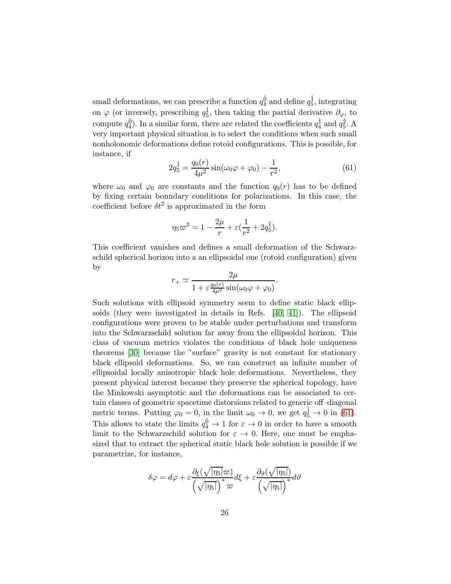small deformations, we can prescribe a function  $q_4^{\hat{0}}$  and define  $q_5^{\hat{1}}$ , integrating on  $\varphi$  (or inversely, prescribing  $q_5^{\hat{1}}$ , then taking the partial derivative  $\partial_{\varphi}$ , to compute  $q_4^{\hat{0}}$ ). In a similar form, there are related the coefficients  $q_4^{\hat{1}}$  and  $q_5^{\hat{2}}$ . A very important physical situation is to select the conditions when such small nonholonomic deformations define rotoid configurations. This is possible, for instance, if

<span id="page-25-0"></span>
$$
2q_5^{\hat{1}} = \frac{q_0(r)}{4\mu^2} \sin(\omega_0 \varphi + \varphi_0) - \frac{1}{r^2},\tag{61}
$$

where  $\omega_0$  and  $\varphi_0$  are constants and the function  $q_0(r)$  has to be defined by fixing certain boundary conditions for polarizations. In this case, the coefficient before  $\delta t^2$  is approximated in the form

$$
\eta_5 \varpi^2 = 1 - \frac{2\mu}{r} + \varepsilon \left(\frac{1}{r^2} + 2q_5^{\hat{1}}\right).
$$

This coefficient vanishes and defines a small deformation of the Schwarzschild spherical horizon into a an ellipsoidal one (rotoid configuration) given by

$$
r_{+} \simeq \frac{2\mu}{1 + \varepsilon \frac{q_0(r)}{4\mu^2} \sin(\omega_0 \varphi + \varphi_0)}.
$$

Such solutions with ellipsoid symmetry seem to define static black ellipsoids (they were investigated in details in Refs. [\[40,](#page-37-5) [41\]](#page-37-6)). The ellipsoid configurations were proven to be stable under perturbations and transform into the Schwarzschild solution far away from the ellipsoidal horizon. This class of vacuum metrics violates the conditions of black hole uniqueness theorems [\[30\]](#page-36-8) because the "surface" gravity is not constant for stationary black ellipsoid deformations. So, we can construct an infinite number of ellipsoidal locally anisotropic black hole deformations. Nevertheless, they present physical interest because they preserve the spherical topology, have the Minkowski asymptotic and the deformations can be associated to certain classes of geometric spacetime distorsions related to generic off–diagonal metric terms. Putting  $\varphi_0 = 0$ , in the limit  $\omega_0 \to 0$ , we get  $q_5^{\hat{1}} \to 0$  in [\(61\)](#page-25-0). This allows to state the limits  $q_4^{\hat{0}} \to 1$  for  $\varepsilon \to 0$  in order to have a smooth limit to the Schwarzschild solution for  $\varepsilon \to 0$ . Here, one must be emphasized that to extract the spherical static black hole solution is possible if we parametrize, for instance,

$$
\delta\varphi = d\varphi + \varepsilon \frac{\partial_{\xi}(\sqrt{|\eta_5|}\varpi)}{\left(\sqrt{|\eta_5|}\right)^{*}\varpi}d\xi + \varepsilon \frac{\partial_{\vartheta}(\sqrt{|\eta_5|})}{\left(\sqrt{|\eta_5|}\right)^{*}}d\vartheta
$$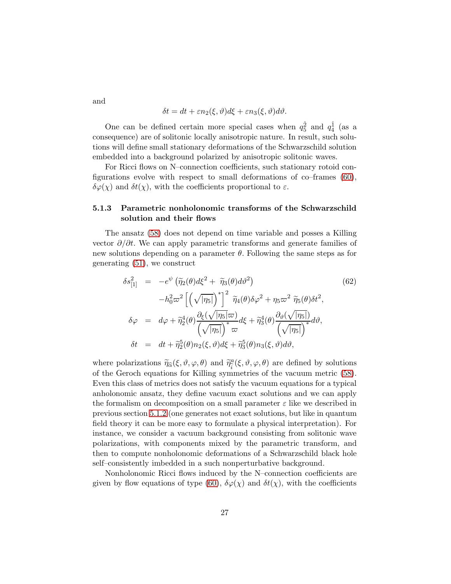and

$$
\delta t = dt + \varepsilon n_2(\xi, \vartheta) d\xi + \varepsilon n_3(\xi, \vartheta) d\vartheta.
$$

One can be defined certain more special cases when  $q_5^{\hat{2}}$  and  $q_4^{\hat{1}}$  (as a consequence) are of solitonic locally anisotropic nature. In result, such solutions will define small stationary deformations of the Schwarzschild solution embedded into a background polarized by anisotropic solitonic waves.

For Ricci flows on N–connection coefficients, such stationary rotoid configurations evolve with respect to small deformations of co–frames [\(60\)](#page-24-2),  $\delta\varphi(\chi)$  and  $\delta t(\chi)$ , with the coefficients proportional to  $\varepsilon$ .

#### 5.1.3 Parametric nonholonomic transforms of the Schwarzschild solution and their flows

The ansatz [\(58\)](#page-23-0) does not depend on time variable and posses a Killing vector  $\partial/\partial t$ . We can apply parametric transforms and generate families of new solutions depending on a parameter  $\theta$ . Following the same steps as for generating [\(51\)](#page-17-0), we construct

<span id="page-26-0"></span>
$$
\delta s_{[1]}^2 = -e^{\psi} (\tilde{\eta}_2(\theta)d\xi^2 + \tilde{\eta}_3(\theta)d\vartheta^2)
$$
\n
$$
-h_0^2 \varpi^2 \left[ \left( \sqrt{|\eta_5|} \right)^* \right]^2 \tilde{\eta}_4(\theta)\delta\varphi^2 + \eta_5 \varpi^2 \tilde{\eta}_5(\theta)\delta t^2,
$$
\n
$$
\delta \varphi = d\varphi + \tilde{\eta}_2^4(\theta) \frac{\partial_{\xi}(\sqrt{|\eta_5|}\varpi)}{\left(\sqrt{|\eta_5|} \right)^* \varpi} d\xi + \tilde{\eta}_3^4(\theta) \frac{\partial_{\vartheta}(\sqrt{|\eta_5|})}{\left(\sqrt{|\eta_5|} \right)^*} d\vartheta,
$$
\n
$$
\delta t = dt + \tilde{\eta}_2^5(\theta)n_2(\xi, \vartheta)d\xi + \tilde{\eta}_3^5(\theta)n_3(\xi, \vartheta)d\vartheta,
$$
\n(62)

where polarizations  $\tilde{\eta}_{\hat{\alpha}}(\xi, \vartheta, \varphi, \theta)$  and  $\tilde{\eta}_{\hat{i}}^{\alpha}(\xi, \vartheta, \varphi, \theta)$  are defined by solutions of the Geroch equations for Killing symmetries of the vacuum metric [\(58\)](#page-23-0). Even this class of metrics does not satisfy the vacuum equations for a typical anholonomic ansatz, they define vacuum exact solutions and we can apply the formalism on decomposition on a small parameter  $\varepsilon$  like we described in previous section [5.1.2](#page-24-3) (one generates not exact solutions, but like in quantum field theory it can be more easy to formulate a physical interpretation). For instance, we consider a vacuum background consisting from solitonic wave polarizations, with components mixed by the parametric transform, and then to compute nonholonomic deformations of a Schwarzschild black hole self–consistently imbedded in a such nonperturbative background.

Nonholonomic Ricci flows induced by the N–connection coefficients are given by flow equations of type [\(60\)](#page-24-2),  $\delta\varphi(\chi)$  and  $\delta t(\chi)$ , with the coefficients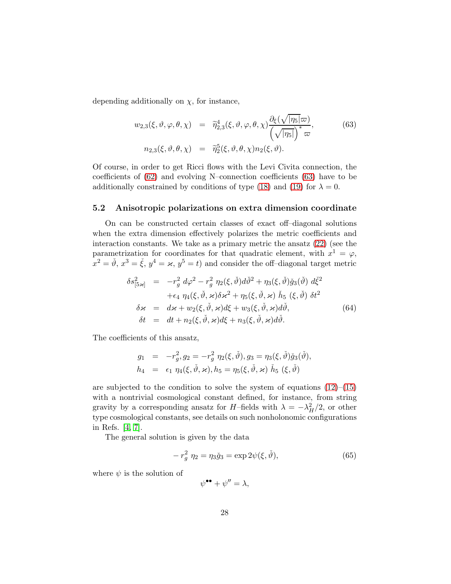depending additionally on  $\chi$ , for instance,

<span id="page-27-0"></span>
$$
w_{2,3}(\xi, \vartheta, \varphi, \theta, \chi) = \widetilde{\eta}_{2,3}^4(\xi, \vartheta, \varphi, \theta, \chi) \frac{\partial_{\xi}(\sqrt{|\eta_5|}\varpi)}{(\sqrt{|\eta_5|})^* \varpi},
$$
(63)  

$$
n_{2,3}(\xi, \vartheta, \theta, \chi) = \widetilde{\eta}_2^5(\xi, \vartheta, \theta, \chi) n_2(\xi, \vartheta).
$$

Of course, in order to get Ricci flows with the Levi Civita connection, the coefficients of [\(62\)](#page-26-0) and evolving N–connection coefficients [\(63\)](#page-27-0) have to be additionally constrained by conditions of type [\(18\)](#page-6-3) and [\(19\)](#page-6-2) for  $\lambda = 0$ .

#### 5.2 Anisotropic polarizations on extra dimension coordinate

On can be constructed certain classes of exact off–diagonal solutions when the extra dimension effectively polarizes the metric coefficients and interaction constants. We take as a primary metric the ansatz [\(22\)](#page-7-2) (see the parametrization for coordinates for that quadratic element, with  $x^1 = \varphi$ ,  $x^2 = \check{\vartheta}, x^3 = \check{\xi}, y^4 = \varkappa, y^5 = t$  and consider the off-diagonal target metric

<span id="page-27-1"></span>
$$
\delta s_{[5\varkappa]}^2 = -r_g^2 d\varphi^2 - r_g^2 \eta_2(\xi, \check{\vartheta}) d\check{\vartheta}^2 + \eta_3(\xi, \check{\vartheta}) \check{g}_3(\check{\vartheta}) d\check{\xi}^2 \n+ \epsilon_4 \eta_4(\xi, \check{\vartheta}, \varkappa) \delta \varkappa^2 + \eta_5(\xi, \check{\vartheta}, \varkappa) \check{h}_5 (\xi, \check{\vartheta}) \delta t^2 \n\delta \varkappa = d\varkappa + w_2(\xi, \check{\vartheta}, \varkappa) d\xi + w_3(\xi, \check{\vartheta}, \varkappa) d\check{\vartheta}, \n\delta t = dt + n_2(\xi, \check{\vartheta}, \varkappa) d\xi + n_3(\xi, \check{\vartheta}, \varkappa) d\check{\vartheta}.
$$
\n(64)

The coefficients of this ansatz,

$$
g_1 = -r_g^2, g_2 = -r_g^2, \eta_2(\xi, \check{\vartheta}), g_3 = \eta_3(\xi, \check{\vartheta})\check{g}_3(\check{\vartheta}), h_4 = \epsilon_1, \eta_4(\xi, \check{\vartheta}, \varkappa), h_5 = \eta_5(\xi, \check{\vartheta}, \varkappa), \check{h}_5(\xi, \check{\vartheta})
$$

are subjected to the condition to solve the system of equations  $(12)$ – $(15)$ with a nontrivial cosmological constant defined, for instance, from string gravity by a corresponding ansatz for H–fields with  $\lambda = -\lambda_H^2/2$ , or other type cosmological constants, see details on such nonholonomic configurations in Refs. [\[4,](#page-34-3) [7\]](#page-34-6).

The general solution is given by the data

<span id="page-27-2"></span>
$$
-r_g^2 \eta_2 = \eta_3 \check{g}_3 = \exp 2\psi(\xi, \check{\vartheta}), \tag{65}
$$

where  $\psi$  is the solution of

 $\psi^{\bullet\bullet}+\psi''=\lambda,$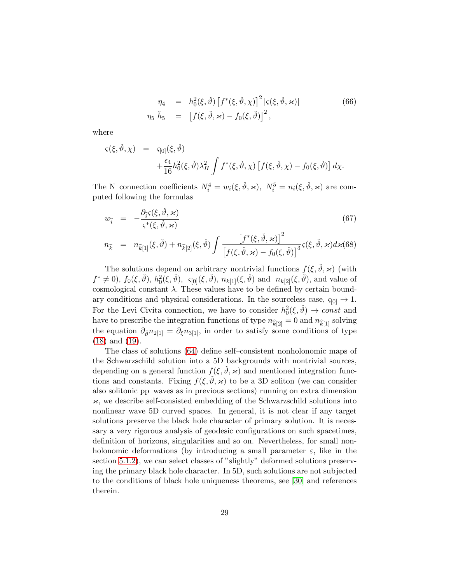<span id="page-28-0"></span>
$$
\eta_4 = h_0^2(\xi, \check{\vartheta}) \left[ f^*(\xi, \check{\vartheta}, \chi) \right]^2 |\varsigma(\xi, \check{\vartheta}, \star)| \n\eta_5 \check{h}_5 = \left[ f(\xi, \check{\vartheta}, \star) - f_0(\xi, \check{\vartheta}) \right]^2,
$$
\n(66)

where

$$
\begin{array}{rcl}\n\varsigma(\xi,\check{\vartheta},\chi) & = & \varsigma_{[0]}(\xi,\check{\vartheta}) \\
& & + \frac{\epsilon_4}{16}h_0^2(\xi,\check{\vartheta})\lambda_H^2 \int f^*(\xi,\check{\vartheta},\chi) \left[ f(\xi,\check{\vartheta},\chi) - f_0(\xi,\check{\vartheta}) \right] d\chi.\n\end{array}
$$

The N–connection coefficients  $N_i^4 = w_i(\xi, \check{\theta}, \varkappa), N_i^5 = n_i(\xi, \check{\theta}, \varkappa)$  are computed following the formulas

$$
w_{\hat{i}} = -\frac{\partial_{\hat{i}}\varsigma(\xi, \check{\vartheta}, \varkappa)}{\varsigma^*(\xi, \check{\vartheta}, \varkappa)}
$$
(67)

$$
n_{\widehat{k}} = n_{\widehat{k}[1]}(\xi, \check{\vartheta}) + n_{\widehat{k}[2]}(\xi, \check{\vartheta}) \int \frac{\left[f^*(\xi, \check{\vartheta}, \varkappa)\right]^2}{\left[f(\xi, \check{\vartheta}, \varkappa) - f_0(\xi, \check{\vartheta})\right]^3} \varsigma(\xi, \check{\vartheta}, \varkappa) d\varkappa(68)
$$

The solutions depend on arbitrary nontrivial functions  $f(\xi, \dot{\theta}, \varkappa)$  (with  $f^* \neq 0$ ,  $f_0(\xi, \check{\vartheta})$ ,  $h_0^2(\xi, \check{\vartheta})$ ,  $\varsigma_{[0]}(\xi, \check{\vartheta})$ ,  $n_{k[1]}(\xi, \check{\vartheta})$  and  $n_{k[2]}(\xi, \check{\vartheta})$ , and value of cosmological constant  $\lambda$ . These values have to be defined by certain boundary conditions and physical considerations. In the sourceless case,  $\varsigma_{[0]} \to 1$ . For the Levi Civita connection, we have to consider  $h_0^2(\xi, \check{\theta}) \to const$  and have to prescribe the integration functions of type  $n_{\hat{k}[2]} = 0$  and  $n_{\hat{k}[1]}$  solving the equation  $\partial_{\check{\theta}} n_{2[1]} = \partial_{\xi} n_{3[1]}$ , in order to satisfy some conditions of type [\(18\)](#page-6-3) and [\(19\)](#page-6-2).

The class of solutions [\(64\)](#page-27-1) define self–consistent nonholonomic maps of the Schwarzschild solution into a 5D backgrounds with nontrivial sources, depending on a general function  $f(\xi, \dot{\theta}, \varkappa)$  and mentioned integration functions and constants. Fixing  $f(\xi, \dot{\theta}, \varkappa)$  to be a 3D soliton (we can consider also solitonic pp–waves as in previous sections) running on extra dimension  $\varkappa$ , we describe self-consisted embedding of the Schwarzschild solutions into nonlinear wave 5D curved spaces. In general, it is not clear if any target solutions preserve the black hole character of primary solution. It is necessary a very rigorous analysis of geodesic configurations on such spacetimes, definition of horizons, singularities and so on. Nevertheless, for small nonholonomic deformations (by introducing a small parameter  $\varepsilon$ , like in the section [5.1.2\)](#page-24-3), we can select classes of "slightly" deformed solutions preserving the primary black hole character. In 5D, such solutions are not subjected to the conditions of black hole uniqueness theorems, see [\[30\]](#page-36-8) and references therein.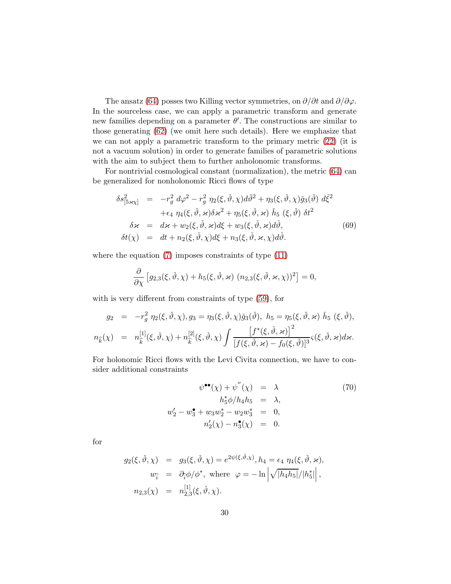The ansatz [\(64\)](#page-27-1) posses two Killing vector symmetries, on  $\partial/\partial t$  and  $\partial/\partial \varphi$ . In the sourceless case, we can apply a parametric transform and generate new families depending on a parameter  $\theta'$ . The constructions are similar to those generating [\(62\)](#page-26-0) (we omit here such details). Here we emphasize that we can not apply a parametric transform to the primary metric [\(22\)](#page-7-2) (it is not a vacuum solution) in order to generate families of parametric solutions with the aim to subject them to further anholonomic transforms.

For nontrivial cosmological constant (normalization), the metric [\(64\)](#page-27-1) can be generalized for nonholonomic Ricci flows of type

<span id="page-29-0"></span>
$$
\delta s^2_{[5 \times \chi]} = -r_g^2 d\varphi^2 - r_g^2 \eta_2(\xi, \check{\vartheta}, \chi) d\check{\vartheta}^2 + \eta_3(\xi, \check{\vartheta}, \chi) \check{g}_3(\check{\vartheta}) d\check{\xi}^2 \n+ \epsilon_4 \eta_4(\xi, \check{\vartheta}, \varkappa) \delta \varkappa^2 + \eta_5(\xi, \check{\vartheta}, \varkappa) \check{h}_5 (\xi, \check{\vartheta}) \delta t^2 \n\delta \varkappa = d\varkappa + w_2(\xi, \check{\vartheta}, \varkappa) d\xi + w_3(\xi, \check{\vartheta}, \varkappa) d\check{\vartheta}, \n\delta t(\chi) = dt + n_2(\xi, \check{\vartheta}, \chi) d\xi + n_3(\xi, \check{\vartheta}, \varkappa, \chi) d\check{\vartheta}.
$$
\n(69)

where the equation  $(7)$  imposes constraints of type  $(11)$ 

$$
\frac{\partial}{\partial \chi} \left[ g_{2,3}(\xi, \check{\vartheta}, \chi) + h_5(\xi, \check{\vartheta}, \varkappa) \left( n_{2,3}(\xi, \check{\vartheta}, \varkappa, \chi) \right)^2 \right] = 0,
$$

with is very different from constraints of type [\(59\)](#page-24-0), for

$$
g_2 = -r_g^2 \eta_2(\xi, \check{\vartheta}, \chi), g_3 = \eta_3(\xi, \check{\vartheta}, \chi) \check{g}_3(\check{\vartheta}), \quad h_5 = \eta_5(\xi, \check{\vartheta}, \varkappa) \; \check{h}_5 \; (\xi, \check{\vartheta}),
$$

$$
n_{\hat{k}}(\chi) = n_{\hat{k}}^{[1]}(\xi, \check{\vartheta}, \chi) + n_{\hat{k}}^{[2]}(\xi, \check{\vartheta}, \chi) \int \frac{\left[f^*(\xi, \check{\vartheta}, \varkappa)\right]^2}{\left[f(\xi, \check{\vartheta}, \varkappa) - f_0(\xi, \check{\vartheta})\right]^3} \varsigma(\xi, \check{\vartheta}, \varkappa) d\varkappa.
$$

For holonomic Ricci flows with the Levi Civita connection, we have to consider additional constraints

<span id="page-29-1"></span>
$$
\psi^{\bullet \bullet}(\chi) + \psi''(\chi) = \lambda \tag{70}
$$

$$
h_5^* \phi / h_4 h_5 = \lambda,
$$

$$
w_2' - w_3^{\bullet} + w_3 w_2^{\ast} - w_2 w_3^{\ast} = 0,
$$

$$
n_2'(\chi) - n_3^{\bullet}(\chi) = 0.
$$

for

$$
g_2(\xi, \check{\vartheta}, \chi) = g_3(\xi, \check{\vartheta}, \chi) = e^{2\psi(\xi, \check{\vartheta}, \chi)}, h_4 = \epsilon_4 \eta_4(\xi, \check{\vartheta}, \varkappa),
$$
  
\n
$$
w_{\hat{i}} = \partial_{\hat{i}} \phi / \phi^*, \text{ where } \varphi = -\ln \left| \sqrt{|h_4 h_5|} / |h_5^*| \right|,
$$
  
\n
$$
n_{2,3}(\chi) = n_{2,3}^{[1]}(\xi, \check{\vartheta}, \chi).
$$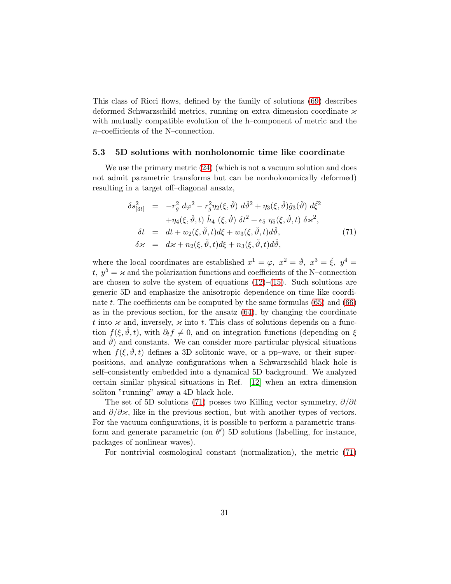This class of Ricci flows, defined by the family of solutions [\(69\)](#page-29-0) describes deformed Schwarzschild metrics, running on extra dimension coordinate  $\varkappa$ with mutually compatible evolution of the h–component of metric and the n–coefficients of the N–connection.

#### 5.3 5D solutions with nonholonomic time like coordinate

We use the primary metric [\(24\)](#page-8-1) (which is not a vacuum solution and does not admit parametric transforms but can be nonholonomically deformed) resulting in a target off–diagonal ansatz,

<span id="page-30-0"></span>
$$
\delta s_{[3t]}^2 = -r_g^2 d\varphi^2 - r_g^2 \eta_2(\xi, \check{\vartheta}) d\check{\vartheta}^2 + \eta_3(\xi, \check{\vartheta}) \check{g}_3(\check{\vartheta}) d\check{\xi}^2 \n+ \eta_4(\xi, \check{\vartheta}, t) \check{h}_4(\xi, \check{\vartheta}) \delta t^2 + \epsilon_5 \eta_5(\xi, \check{\vartheta}, t) \delta \varkappa^2, \n\delta t = dt + w_2(\xi, \check{\vartheta}, t) d\xi + w_3(\xi, \check{\vartheta}, t) d\check{\vartheta}, \n\delta \varkappa = d\varkappa + n_2(\xi, \check{\vartheta}, t) d\xi + n_3(\xi, \check{\vartheta}, t) d\check{\vartheta},
$$
\n(71)

where the local coordinates are established  $x^1 = \varphi$ ,  $x^2 = \check{\vartheta}$ ,  $x^3 = \check{\xi}$ ,  $y^4 =$ t,  $y^5 = \varkappa$  and the polarization functions and coefficients of the N–connection are chosen to solve the system of equations  $(12)$ – $(15)$ . Such solutions are generic 5D and emphasize the anisotropic dependence on time like coordinate t. The coefficients can be computed by the same formulas  $(65)$  and  $(66)$ as in the previous section, for the ansatz [\(64\)](#page-27-1), by changing the coordinate t into  $\varkappa$  and, inversely,  $\varkappa$  into t. This class of solutions depends on a function  $f(\xi, \check{\vartheta}, t)$ , with  $\partial_t f \neq 0$ , and on integration functions (depending on  $\xi$ and  $\hat{\theta}$  and constants. We can consider more particular physical situations when  $f(\xi, \vartheta, t)$  defines a 3D solitonic wave, or a pp–wave, or their superpositions, and analyze configurations when a Schwarzschild black hole is self–consistently embedded into a dynamical 5D background. We analyzed certain similar physical situations in Ref. [\[12\]](#page-35-3) when an extra dimension soliton "running" away a 4D black hole.

The set of 5D solutions [\(71\)](#page-30-0) posses two Killing vector symmetry,  $\partial/\partial t$ and  $\partial/\partial \varkappa$ , like in the previous section, but with another types of vectors. For the vacuum configurations, it is possible to perform a parametric transform and generate parametric (on  $\theta'$ ) 5D solutions (labelling, for instance, packages of nonlinear waves).

For nontrivial cosmological constant (normalization), the metric [\(71\)](#page-30-0)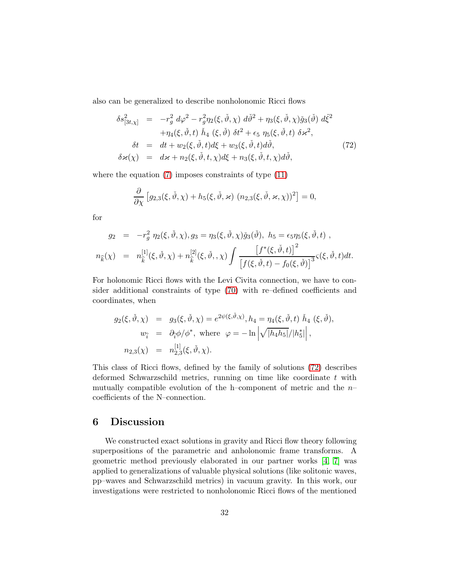also can be generalized to describe nonholonomic Ricci flows

<span id="page-31-0"></span>
$$
\delta s_{[3t,\chi]}^2 = -r_g^2 d\varphi^2 - r_g^2 \eta_2(\xi, \check{\vartheta}, \chi) d\check{\vartheta}^2 + \eta_3(\xi, \check{\vartheta}, \chi) \check{g}_3(\check{\vartheta}) d\check{\xi}^2 \n+ \eta_4(\xi, \check{\vartheta}, t) \check{h}_4(\xi, \check{\vartheta}) \delta t^2 + \epsilon_5 \eta_5(\xi, \check{\vartheta}, t) \delta \varkappa^2, \n\delta t = dt + w_2(\xi, \check{\vartheta}, t) d\xi + w_3(\xi, \check{\vartheta}, t) d\check{\vartheta}, \n\delta \varkappa(\chi) = d\varkappa + n_2(\xi, \check{\vartheta}, t, \chi) d\xi + n_3(\xi, \check{\vartheta}, t, \chi) d\check{\vartheta},
$$
\n(72)

where the equation [\(7\)](#page-5-1) imposes constraints of type  $(11)$ 

$$
\frac{\partial}{\partial \chi} \left[ g_{2,3}(\xi, \check{\vartheta}, \chi) + h_5(\xi, \check{\vartheta}, \varkappa) \left( n_{2,3}(\xi, \check{\vartheta}, \varkappa, \chi) \right)^2 \right] = 0,
$$

for

$$
g_2 = -r_g^2 \eta_2(\xi, \check{\vartheta}, \chi), g_3 = \eta_3(\xi, \check{\vartheta}, \chi) \check{g}_3(\check{\vartheta}), \quad h_5 = \epsilon_5 \eta_5(\xi, \check{\vartheta}, t) ,
$$
  

$$
n_{\hat{k}}(\chi) = n_{\hat{k}}^{[1]}(\xi, \check{\vartheta}, \chi) + n_{\hat{k}}^{[2]}(\xi, \check{\vartheta}, \chi) \int \frac{\left[f^*(\xi, \check{\vartheta}, t)\right]^2}{\left[f(\xi, \check{\vartheta}, t) - f_0(\xi, \check{\vartheta})\right]^3} \varsigma(\xi, \check{\vartheta}, t) dt.
$$

For holonomic Ricci flows with the Levi Civita connection, we have to consider additional constraints of type [\(70\)](#page-29-1) with re–defined coefficients and coordinates, when

$$
g_2(\xi, \check{\vartheta}, \chi) = g_3(\xi, \check{\vartheta}, \chi) = e^{2\psi(\xi, \check{\vartheta}, \chi)}, h_4 = \eta_4(\xi, \check{\vartheta}, t) \check{h}_4 (\xi, \check{\vartheta}),
$$
  
\n
$$
w_{\hat{i}} = \partial_{\hat{i}} \phi / \phi^*, \text{ where } \varphi = -\ln \left| \sqrt{|h_4 h_5|} / |h_5^*| \right|,
$$
  
\n
$$
n_{2,3}(\chi) = n_{2,3}^{[1]}(\xi, \check{\vartheta}, \chi).
$$

This class of Ricci flows, defined by the family of solutions [\(72\)](#page-31-0) describes deformed Schwarzschild metrics, running on time like coordinate t with mutually compatible evolution of the h–component of metric and the  $n$ coefficients of the N–connection.

## 6 Discussion

We constructed exact solutions in gravity and Ricci flow theory following superpositions of the parametric and anholonomic frame transforms. A geometric method previously elaborated in our partner works [\[4,](#page-34-3) [7\]](#page-34-6) was applied to generalizations of valuable physical solutions (like solitonic waves, pp–waves and Schwarzschild metrics) in vacuum gravity. In this work, our investigations were restricted to nonholonomic Ricci flows of the mentioned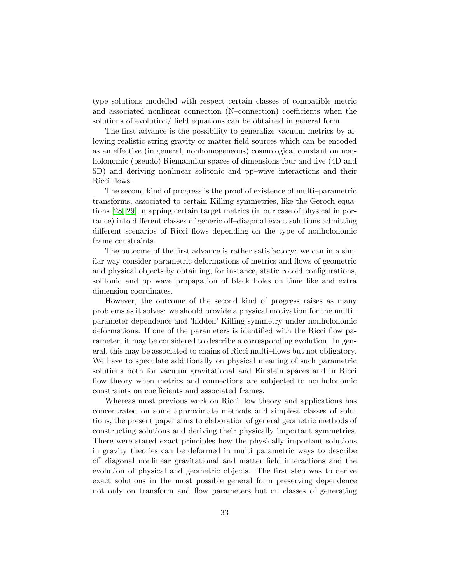type solutions modelled with respect certain classes of compatible metric and associated nonlinear connection (N–connection) coefficients when the solutions of evolution/ field equations can be obtained in general form.

The first advance is the possibility to generalize vacuum metrics by allowing realistic string gravity or matter field sources which can be encoded as an effective (in general, nonhomogeneous) cosmological constant on nonholonomic (pseudo) Riemannian spaces of dimensions four and five (4D and 5D) and deriving nonlinear solitonic and pp–wave interactions and their Ricci flows.

The second kind of progress is the proof of existence of multi–parametric transforms, associated to certain Killing symmetries, like the Geroch equations [\[28,](#page-36-6) [29\]](#page-36-7), mapping certain target metrics (in our case of physical importance) into different classes of generic off–diagonal exact solutions admitting different scenarios of Ricci flows depending on the type of nonholonomic frame constraints.

The outcome of the first advance is rather satisfactory: we can in a similar way consider parametric deformations of metrics and flows of geometric and physical objects by obtaining, for instance, static rotoid configurations, solitonic and pp–wave propagation of black holes on time like and extra dimension coordinates.

However, the outcome of the second kind of progress raises as many problems as it solves: we should provide a physical motivation for the multi– parameter dependence and 'hidden' Killing symmetry under nonholonomic deformations. If one of the parameters is identified with the Ricci flow parameter, it may be considered to describe a corresponding evolution. In general, this may be associated to chains of Ricci multi–flows but not obligatory. We have to speculate additionally on physical meaning of such parametric solutions both for vacuum gravitational and Einstein spaces and in Ricci flow theory when metrics and connections are subjected to nonholonomic constraints on coefficients and associated frames.

Whereas most previous work on Ricci flow theory and applications has concentrated on some approximate methods and simplest classes of solutions, the present paper aims to elaboration of general geometric methods of constructing solutions and deriving their physically important symmetries. There were stated exact principles how the physically important solutions in gravity theories can be deformed in multi–parametric ways to describe off–diagonal nonlinear gravitational and matter field interactions and the evolution of physical and geometric objects. The first step was to derive exact solutions in the most possible general form preserving dependence not only on transform and flow parameters but on classes of generating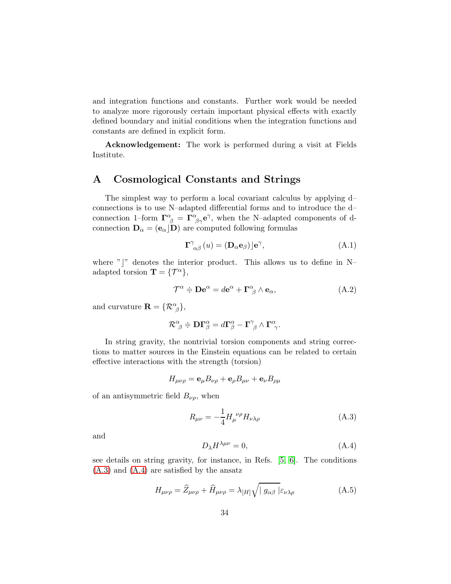and integration functions and constants. Further work would be needed to analyze more rigorously certain important physical effects with exactly defined boundary and initial conditions when the integration functions and constants are defined in explicit form.

Acknowledgement: The work is performed during a visit at Fields Institute.

## A Cosmological Constants and Strings

The simplest way to perform a local covariant calculus by applying d– connections is to use N–adapted differential forms and to introduce the d– connection 1–form  $\Gamma^{\alpha}_{\ \beta} = \Gamma^{\alpha}_{\ \beta\gamma} e^{\gamma}$ , when the N–adapted components of dconnection  $\mathbf{D}_{\alpha} = (\mathbf{e}_{\alpha} | \mathbf{D})$  are computed following formulas

$$
\Gamma^{\gamma}_{\alpha\beta}(u) = (\mathbf{D}_{\alpha}\mathbf{e}_{\beta})\rfloor \mathbf{e}^{\gamma}, \tag{A.1}
$$

where " $\vert$ " denotes the interior product. This allows us to define in N– adapted torsion  $\mathbf{T} = \{ \mathcal{T}^{\alpha} \},\$ 

<span id="page-33-3"></span>
$$
\mathcal{T}^{\alpha} \doteqdot \mathbf{D} \mathbf{e}^{\alpha} = d\mathbf{e}^{\alpha} + \mathbf{\Gamma}^{\alpha}_{\ \beta} \wedge \mathbf{e}_{\alpha}, \tag{A.2}
$$

and curvature  $\mathbf{R} = {\mathcal{R}}^{\alpha}_{\beta},$ 

$$
\mathcal{R}^{\alpha}_{\ \beta}\doteqdot {\mathbf{D}}{\mathbf{\Gamma}}^{\alpha}_{\beta}=d{\mathbf{\Gamma}}^{\alpha}_{\beta}-{\mathbf{\Gamma}}^{\gamma}_{\ \beta}\wedge{\mathbf{\Gamma}}^{\alpha}_{\ \gamma}.
$$

In string gravity, the nontrivial torsion components and string corrections to matter sources in the Einstein equations can be related to certain effective interactions with the strength (torsion)

$$
H_{\mu\nu\rho} = \mathbf{e}_{\mu}B_{\nu\rho} + \mathbf{e}_{\rho}B_{\mu\nu} + \mathbf{e}_{\nu}B_{\rho\mu}
$$

of an antisymmetric field  $B_{\nu\rho}$ , when

<span id="page-33-0"></span>
$$
R_{\mu\nu} = -\frac{1}{4} H_{\mu}^{\ \nu\rho} H_{\nu\lambda\rho} \tag{A.3}
$$

and

<span id="page-33-1"></span>
$$
D_{\lambda}H^{\lambda\mu\nu} = 0, \tag{A.4}
$$

see details on string gravity, for instance, in Refs. [\[5,](#page-34-4) [6\]](#page-34-5). The conditions [\(A.3\)](#page-33-0) and [\(A.4\)](#page-33-1) are satisfied by the ansatz

<span id="page-33-2"></span>
$$
H_{\mu\nu\rho} = \hat{Z}_{\mu\nu\rho} + \hat{H}_{\mu\nu\rho} = \lambda_{[H]}\sqrt{|g_{\alpha\beta}|}\varepsilon_{\nu\lambda\rho}
$$
(A.5)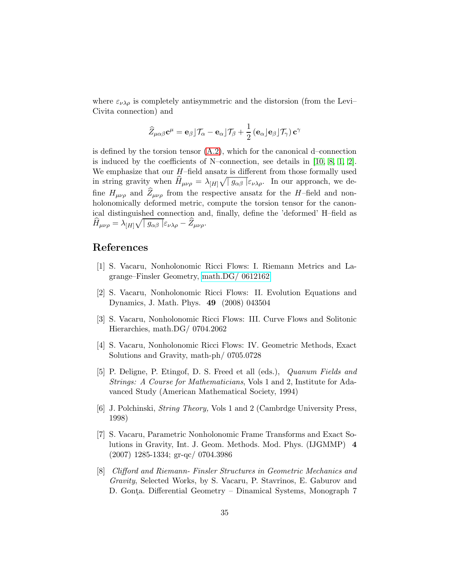where  $\varepsilon_{\nu\lambda\rho}$  is completely antisymmetric and the distorsion (from the Levi– Civita connection) and

$$
\widehat{Z}_{\mu\alpha\beta}\mathbf{c}^{\mu} = \mathbf{e}_{\beta} \rfloor \mathcal{T}_{\alpha} - \mathbf{e}_{\alpha} \rfloor \mathcal{T}_{\beta} + \frac{1}{2} \left( \mathbf{e}_{\alpha} \rfloor \mathbf{e}_{\beta} \rfloor \mathcal{T}_{\gamma} \right) \mathbf{c}^{\gamma}
$$

is defined by the torsion tensor  $(A.2)$ , which for the canonical d–connection is induced by the coefficients of N–connection, see details in [\[10,](#page-35-1) [8,](#page-34-7) [1,](#page-34-0) [2\]](#page-34-1). We emphasize that our  $H$ –field ansatz is different from those formally used in string gravity when  $\hat{H}_{\mu\nu\rho} = \lambda_{[H]}\sqrt{|g_{\alpha\beta}|}\varepsilon_{\nu\lambda\rho}$ . In our approach, we define  $H_{\mu\nu\rho}$  and  $Z_{\mu\nu\rho}$  from the respective ansatz for the H–field and nonholonomically deformed metric, compute the torsion tensor for the canonical distinguished connection and, finally, define the 'deformed' H–field as  $\widehat{H}_{\mu\nu\rho} = \lambda_{[H]}\sqrt{\mid g_{\alpha\beta}\mid} \varepsilon_{\nu\lambda\rho} - \widehat{Z}_{\mu\nu\rho}.$ 

## <span id="page-34-0"></span>References

- <span id="page-34-1"></span>[1] S. Vacaru, Nonholonomic Ricci Flows: I. Riemann Metrics and Lagrange–Finsler Geometry, [math.DG/ 0612162](http://arxiv.org/abs/math/0612162)
- [2] S. Vacaru, Nonholonomic Ricci Flows: II. Evolution Equations and Dynamics, J. Math. Phys. 49 (2008) 043504
- <span id="page-34-2"></span>[3] S. Vacaru, Nonholonomic Ricci Flows: III. Curve Flows and Solitonic Hierarchies, math.DG/ 0704.2062
- <span id="page-34-3"></span>[4] S. Vacaru, Nonholonomic Ricci Flows: IV. Geometric Methods, Exact Solutions and Gravity, math-ph/ 0705.0728
- <span id="page-34-4"></span>[5] P. Deligne, P. Etingof, D. S. Freed et all (eds.), Quanum Fields and Strings: A Course for Mathematicians, Vols 1 and 2, Institute for Adavanced Study (American Mathematical Society, 1994)
- <span id="page-34-5"></span>[6] J. Polchinski, String Theory, Vols 1 and 2 (Cambrdge University Press, 1998)
- <span id="page-34-6"></span>[7] S. Vacaru, Parametric Nonholonomic Frame Transforms and Exact Solutions in Gravity, Int. J. Geom. Methods. Mod. Phys. (IJGMMP) 4 (2007) 1285-1334; gr-qc/ 0704.3986
- <span id="page-34-7"></span>[8] Clifford and Riemann- Finsler Structures in Geometric Mechanics and Gravity, Selected Works, by S. Vacaru, P. Stavrinos, E. Gaburov and D. Gonța. Differential Geometry - Dinamical Systems, Monograph 7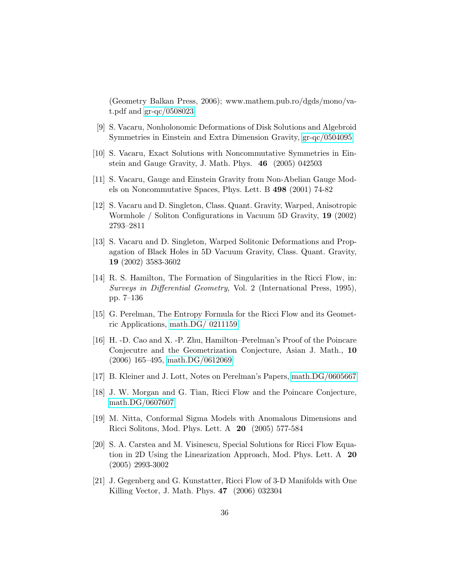(Geometry Balkan Press, 2006); www.mathem.pub.ro/dgds/mono/vat.pdf and [gr-qc/0508023](http://arxiv.org/abs/gr-qc/0508023)

- <span id="page-35-1"></span><span id="page-35-0"></span>[9] S. Vacaru, Nonholonomic Deformations of Disk Solutions and Algebroid Symmetries in Einstein and Extra Dimension Gravity, [gr-qc/0504095](http://arxiv.org/abs/gr-qc/0504095)
- <span id="page-35-2"></span>[10] S. Vacaru, Exact Solutions with Noncommutative Symmetries in Einstein and Gauge Gravity, J. Math. Phys. 46 (2005) 042503
- [11] S. Vacaru, Gauge and Einstein Gravity from Non-Abelian Gauge Models on Noncommutative Spaces, Phys. Lett. B 498 (2001) 74-82
- <span id="page-35-3"></span>[12] S. Vacaru and D. Singleton, Class. Quant. Gravity, Warped, Anisotropic Wormhole / Soliton Configurations in Vacuum 5D Gravity, 19 (2002) 2793–2811
- <span id="page-35-4"></span>[13] S. Vacaru and D. Singleton, Warped Solitonic Deformations and Propagation of Black Holes in 5D Vacuum Gravity, Class. Quant. Gravity, 19 (2002) 3583-3602
- <span id="page-35-5"></span>[14] R. S. Hamilton, The Formation of Singularities in the Ricci Flow, in: Surveys in Differential Geometry, Vol. 2 (International Press, 1995), pp. 7–136
- <span id="page-35-6"></span>[15] G. Perelman, The Entropy Formula for the Ricci Flow and its Geometric Applications, [math.DG/ 0211159](http://arxiv.org/abs/math/0211159)
- <span id="page-35-7"></span>[16] H. -D. Cao and X. -P. Zhu, Hamilton–Perelman's Proof of the Poincare Conjecutre and the Geometrization Conjecture, Asian J. Math., 10 (2006) 165–495, [math.DG/0612069](http://arxiv.org/abs/math/0612069)
- <span id="page-35-9"></span><span id="page-35-8"></span>[17] B. Kleiner and J. Lott, Notes on Perelman's Papers, [math.DG/0605667](http://arxiv.org/abs/math/0605667)
- [18] J. W. Morgan and G. Tian, Ricci Flow and the Poincare Conjecture, [math.DG/0607607](http://arxiv.org/abs/math/0607607)
- <span id="page-35-10"></span>[19] M. Nitta, Conformal Sigma Models with Anomalous Dimensions and Ricci Solitons, Mod. Phys. Lett. A 20 (2005) 577-584
- <span id="page-35-11"></span>[20] S. A. Carstea and M. Visinescu, Special Solutions for Ricci Flow Equation in 2D Using the Linearization Approach, Mod. Phys. Lett. A 20 (2005) 2993-3002
- <span id="page-35-12"></span>[21] J. Gegenberg and G. Kunstatter, Ricci Flow of 3-D Manifolds with One Killing Vector, J. Math. Phys. 47 (2006) 032304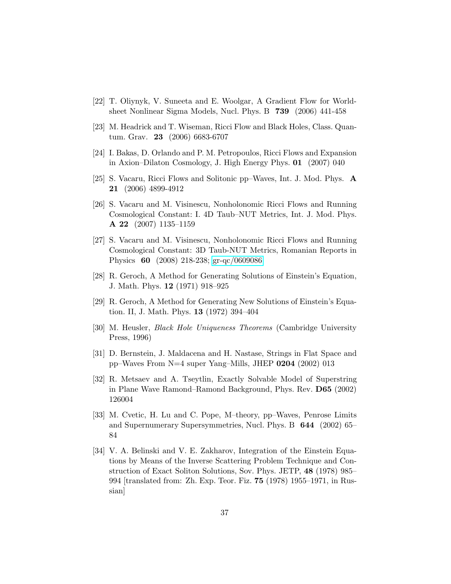- <span id="page-36-1"></span><span id="page-36-0"></span>[22] T. Oliynyk, V. Suneeta and E. Woolgar, A Gradient Flow for Worldsheet Nonlinear Sigma Models, Nucl. Phys. B 739 (2006) 441-458
- <span id="page-36-2"></span>[23] M. Headrick and T. Wiseman, Ricci Flow and Black Holes, Class. Quantum. Grav. 23 (2006) 6683-6707
- <span id="page-36-3"></span>[24] I. Bakas, D. Orlando and P. M. Petropoulos, Ricci Flows and Expansion in Axion–Dilaton Cosmology, J. High Energy Phys. 01 (2007) 040
- <span id="page-36-4"></span>[25] S. Vacaru, Ricci Flows and Solitonic pp–Waves, Int. J. Mod. Phys. A 21 (2006) 4899-4912
- [26] S. Vacaru and M. Visinescu, Nonholonomic Ricci Flows and Running Cosmological Constant: I. 4D Taub–NUT Metrics, Int. J. Mod. Phys. A 22 (2007) 1135–1159
- <span id="page-36-5"></span>[27] S. Vacaru and M. Visinescu, Nonholonomic Ricci Flows and Running Cosmological Constant: 3D Taub-NUT Metrics, Romanian Reports in Physics 60 (2008) 218-238; [gr-qc/0609086](http://arxiv.org/abs/gr-qc/0609086)
- <span id="page-36-6"></span>[28] R. Geroch, A Method for Generating Solutions of Einstein's Equation, J. Math. Phys. 12 (1971) 918–925
- <span id="page-36-7"></span>[29] R. Geroch, A Method for Generating New Solutions of Einstein's Equation. II, J. Math. Phys. 13 (1972) 394–404
- <span id="page-36-8"></span>[30] M. Heusler, Black Hole Uniqueness Theorems (Cambridge University Press, 1996)
- <span id="page-36-10"></span><span id="page-36-9"></span>[31] D. Bernstein, J. Maldacena and H. Nastase, Strings in Flat Space and pp–Waves From N=4 super Yang–Mills, JHEP 0204 (2002) 013
- [32] R. Metsaev and A. Tseytlin, Exactly Solvable Model of Superstring in Plane Wave Ramond–Ramond Background, Phys. Rev. D65 (2002) 126004
- <span id="page-36-11"></span>[33] M. Cvetic, H. Lu and C. Pope, M–theory, pp–Waves, Penrose Limits and Supernumerary Supersymmetries, Nucl. Phys. B 644 (2002) 65– 84
- <span id="page-36-12"></span>[34] V. A. Belinski and V. E. Zakharov, Integration of the Einstein Equations by Means of the Inverse Scattering Problem Technique and Construction of Exact Soliton Solutions, Sov. Phys. JETP, 48 (1978) 985– 994 [translated from: Zh. Exp. Teor. Fiz. 75 (1978) 1955–1971, in Russian]